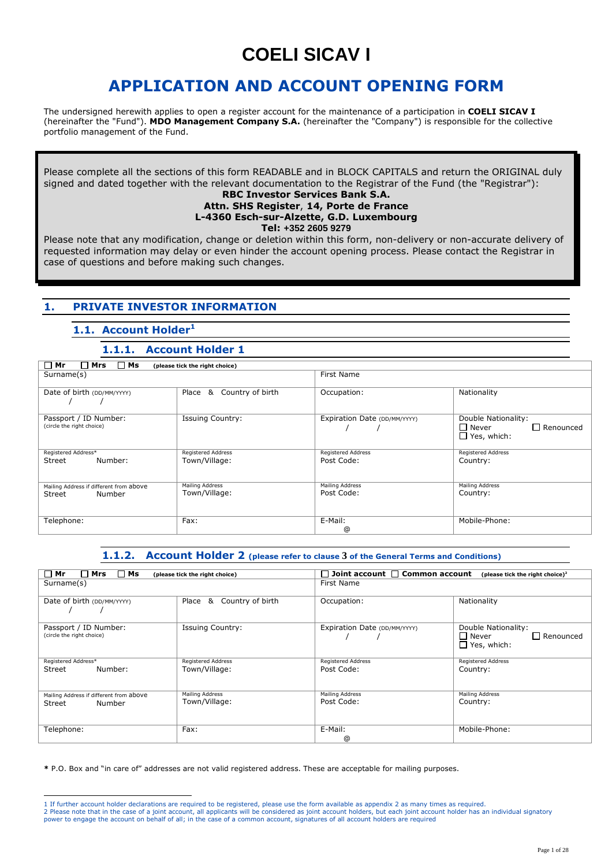# **COELI SICAV I**

# **APPLICATION AND ACCOUNT OPENING FORM**

The undersigned herewith applies to open a register account for the maintenance of a participation in **COELI SICAV I** (hereinafter the "Fund"). **MDO Management Company S.A.** (hereinafter the "Company") is responsible for the collective portfolio management of the Fund.

Please complete all the sections of this form READABLE and in BLOCK CAPITALS and return the ORIGINAL duly signed and dated together with the relevant documentation to the Registrar of the Fund (the "Registrar"):

#### **RBC Investor Services Bank S.A. Attn. SHS Register**, **14, Porte de France L-4360 Esch-sur-Alzette, G.D. Luxembourg Tel: +352 2605 9279**

Please note that any modification, change or deletion within this form, non-delivery or non-accurate delivery of requested information may delay or even hinder the account opening process. Please contact the Registrar in case of questions and before making such changes.

### **1. PRIVATE INVESTOR INFORMATION**

### **1.1. Account Holder<sup>1</sup>**

### **1.1.1. Account Holder 1**

| $\square$ Ms<br>$\Box$ Mr<br>$\Box$ Mrs                     |                                         |                                  |                                                                               |
|-------------------------------------------------------------|-----------------------------------------|----------------------------------|-------------------------------------------------------------------------------|
| Surname(s)                                                  | (please tick the right choice)          | First Name                       |                                                                               |
| Date of birth (DD/MM/YYYY)                                  | Country of birth<br>Place<br>&          | Occupation:                      | Nationality                                                                   |
| Passport / ID Number:<br>(circle the right choice)          | <b>Issuing Country:</b>                 | Expiration Date (DD/MM/YYYY)     | Double Nationality:<br>$\Box$ Never<br>$\Box$ Renounced<br>$\Box$ Yes, which: |
| Registered Address*<br>Street<br>Number:                    | Registered Address<br>Town/Village:     | Registered Address<br>Post Code: | <b>Registered Address</b><br>Country:                                         |
| Mailing Address if different from above<br>Street<br>Number | <b>Mailing Address</b><br>Town/Village: | Mailing Address<br>Post Code:    | <b>Mailing Address</b><br>Country:                                            |
| Telephone:                                                  | Fax:                                    | E-Mail:<br>@                     | Mobile-Phone:                                                                 |

### **1.1.2. Account Holder 2 (please refer to clause 3 of the General Terms and Conditions)**

| $\Box$ Mrs<br>$\Box$ Ms<br>$\Box$ Mr                        | (please tick the right choice)      | $\Box$ Joint account $\Box$ Common account | (please tick the right choice) $^2$                                           |
|-------------------------------------------------------------|-------------------------------------|--------------------------------------------|-------------------------------------------------------------------------------|
| Surname(s)                                                  |                                     | First Name                                 |                                                                               |
| Date of birth (DD/MM/YYYY)                                  | &<br>Country of birth<br>Place      | Occupation:                                | Nationality                                                                   |
| Passport / ID Number:<br>(circle the right choice)          | <b>Issuing Country:</b>             | Expiration Date (DD/MM/YYYY)               | Double Nationality:<br>$\Box$ Never<br>$\Box$ Renounced<br>$\Box$ Yes, which: |
| Registered Address*<br>Number:<br>Street                    | Registered Address<br>Town/Village: | <b>Registered Address</b><br>Post Code:    | <b>Registered Address</b><br>Country:                                         |
| Mailing Address if different from above<br>Street<br>Number | Mailing Address<br>Town/Village:    | <b>Mailing Address</b><br>Post Code:       | Mailing Address<br>Country:                                                   |
| Telephone:                                                  | Fax:                                | E-Mail:<br>@                               | Mobile-Phone:                                                                 |

**\*** P.O. Box and "in care of" addresses are not valid registered address. These are acceptable for mailing purposes.

<sup>-</sup>1 If further account holder declarations are required to be registered, please use the form available as appendix 2 as many times as required.

<sup>2</sup> Please note that in the case of a joint account, all applicants will be considered as joint account holders, but each joint account holder has an individual signatory power to engage the account on behalf of all; in the case of a common account, signatures of all account holders are required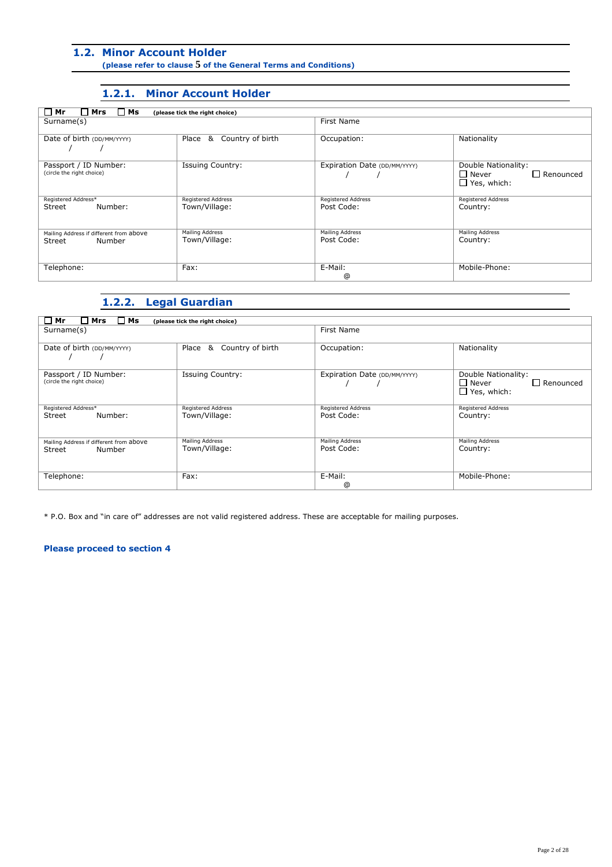### **1.2. Minor Account Holder**

**(please refer to clause 5 of the General Terms and Conditions)**

### **1.2.1. Minor Account Holder**

| $\Box$ Ms<br>$\square$ Mrs<br>$\Box$ Mr<br>(please tick the right choice) |                                  |                               |                                                                                  |
|---------------------------------------------------------------------------|----------------------------------|-------------------------------|----------------------------------------------------------------------------------|
| Surname(s)                                                                |                                  | First Name                    |                                                                                  |
|                                                                           |                                  |                               |                                                                                  |
| Date of birth (DD/MM/YYYY)                                                | Country of birth<br>&<br>Place   | Occupation:                   | Nationality                                                                      |
| Passport / ID Number:<br>(circle the right choice)                        | <b>Issuing Country:</b>          | Expiration Date (DD/MM/YYYY)  | Double Nationality:<br>$\square$ Never<br>$\Box$ Renounced<br>$\Box$ Yes, which: |
| Registered Address*                                                       | Registered Address               | Registered Address            | <b>Registered Address</b>                                                        |
| Street<br>Number:                                                         | Town/Village:                    | Post Code:                    | Country:                                                                         |
| Mailing Address if different from above                                   | Mailing Address<br>Town/Village: | Mailing Address<br>Post Code: | Mailing Address                                                                  |
| Number<br>Street                                                          |                                  |                               | Country:                                                                         |
| Telephone:                                                                | Fax:                             | E-Mail:                       | Mobile-Phone:                                                                    |
|                                                                           |                                  | ⊚                             |                                                                                  |

### **1.2.2. Legal Guardian**

| $\square$ Ms<br>$\Box$ Mr<br>$\square$ Mrs<br>Surname(s)    | (please tick the right choice)      | First Name                       |                                                                                  |
|-------------------------------------------------------------|-------------------------------------|----------------------------------|----------------------------------------------------------------------------------|
| Date of birth (DD/MM/YYYY)                                  | Country of birth<br>Place<br>&      | Occupation:                      | Nationality                                                                      |
| Passport / ID Number:<br>(circle the right choice)          | <b>Issuing Country:</b>             | Expiration Date (DD/MM/YYYY)     | Double Nationality:<br>$\square$ Never<br>$\Box$ Renounced<br>$\Box$ Yes, which: |
| Registered Address*<br>Number:<br>Street                    | Registered Address<br>Town/Village: | Registered Address<br>Post Code: | <b>Registered Address</b><br>Country:                                            |
| Mailing Address if different from above<br>Number<br>Street | Mailing Address<br>Town/Village:    | Mailing Address<br>Post Code:    | <b>Mailing Address</b><br>Country:                                               |
| Telephone:                                                  | Fax:                                | E-Mail:<br>⊚                     | Mobile-Phone:                                                                    |

\* P.O. Box and "in care of" addresses are not valid registered address. These are acceptable for mailing purposes.

#### **Please proceed to section 4**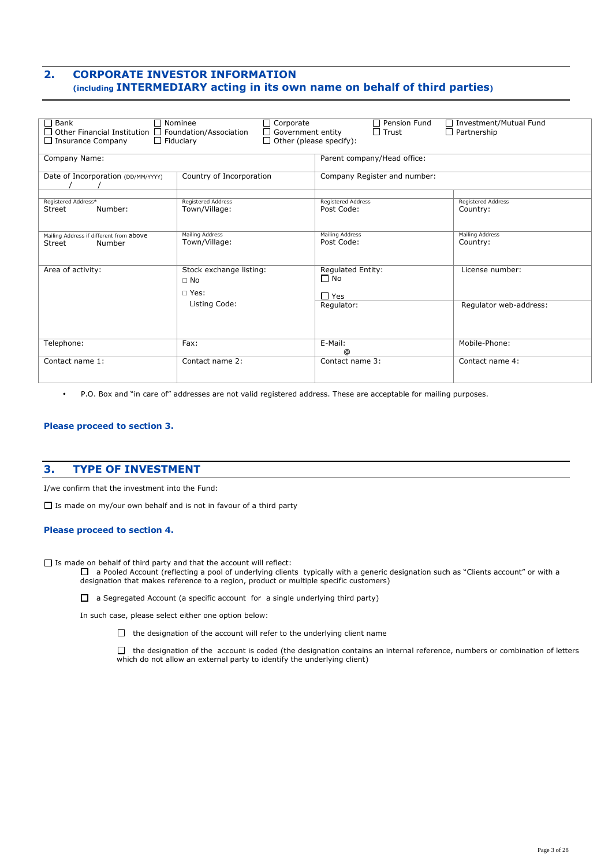### **2. CORPORATE INVESTOR INFORMATION (including INTERMEDIARY acting in its own name on behalf of third parties)**

| $\Box$ Bank                                                                                                                                                                              | Nominee<br>$\Box$ Corporate | Pension Fund<br>П            | □ Investment/Mutual Fund  |
|------------------------------------------------------------------------------------------------------------------------------------------------------------------------------------------|-----------------------------|------------------------------|---------------------------|
| $\Box$ Other Financial Institution $\Box$ Foundation/Association<br>$\Box$ Trust<br>$\Box$ Government entity<br>$\Box$ Partnership<br>$\Box$ Other (please specify):<br>$\Box$ Fiduciary |                             |                              |                           |
| $\Box$ Insurance Company                                                                                                                                                                 |                             |                              |                           |
| Company Name:                                                                                                                                                                            |                             | Parent company/Head office:  |                           |
|                                                                                                                                                                                          |                             |                              |                           |
| Date of Incorporation (DD/MM/YYYY)                                                                                                                                                       | Country of Incorporation    | Company Register and number: |                           |
| Registered Address*                                                                                                                                                                      | <b>Registered Address</b>   | <b>Registered Address</b>    | <b>Registered Address</b> |
| Number:<br>Street                                                                                                                                                                        | Town/Village:               | Post Code:                   | Country:                  |
|                                                                                                                                                                                          |                             |                              |                           |
|                                                                                                                                                                                          | <b>Mailing Address</b>      | <b>Mailing Address</b>       | <b>Mailing Address</b>    |
| Mailing Address if different from above<br>Street<br>Number                                                                                                                              | Town/Village:               | Post Code:                   | Country:                  |
|                                                                                                                                                                                          |                             |                              |                           |
|                                                                                                                                                                                          |                             |                              |                           |
| Area of activity:                                                                                                                                                                        | Stock exchange listing:     | <b>Regulated Entity:</b>     | License number:           |
|                                                                                                                                                                                          | $\Box$ No                   | $\Box$ No                    |                           |
|                                                                                                                                                                                          | $\Box$ Yes:                 | $\Box$ Yes                   |                           |
|                                                                                                                                                                                          | Listing Code:               | Regulator:                   | Regulator web-address:    |
|                                                                                                                                                                                          |                             |                              |                           |
|                                                                                                                                                                                          |                             |                              |                           |
|                                                                                                                                                                                          |                             |                              |                           |
| Telephone:                                                                                                                                                                               | Fax:                        | E-Mail:<br>$^{\circ}$        | Mobile-Phone:             |
| Contact name 1:                                                                                                                                                                          | Contact name 2:             | Contact name 3:              | Contact name 4:           |
|                                                                                                                                                                                          |                             |                              |                           |
|                                                                                                                                                                                          |                             |                              |                           |

• P.O. Box and "in care of" addresses are not valid registered address. These are acceptable for mailing purposes.

#### **Please proceed to section 3.**

### **3. TYPE OF INVESTMENT**

I/we confirm that the investment into the Fund:

 $\Box$  Is made on my/our own behalf and is not in favour of a third party

#### **Please proceed to section 4.**

 $\Box$  Is made on behalf of third party and that the account will reflect:

□ a Pooled Account (reflecting a pool of underlying clients typically with a generic designation such as "Clients account" or with a designation that makes reference to a region, product or multiple specific customers)

 $\Box$  a Segregated Account (a specific account for a single underlying third party)

In such case, please select either one option below:

 $\Box$  the designation of the account will refer to the underlying client name

 $\Box$  the designation of the account is coded (the designation contains an internal reference, numbers or combination of letters which do not allow an external party to identify the underlying client)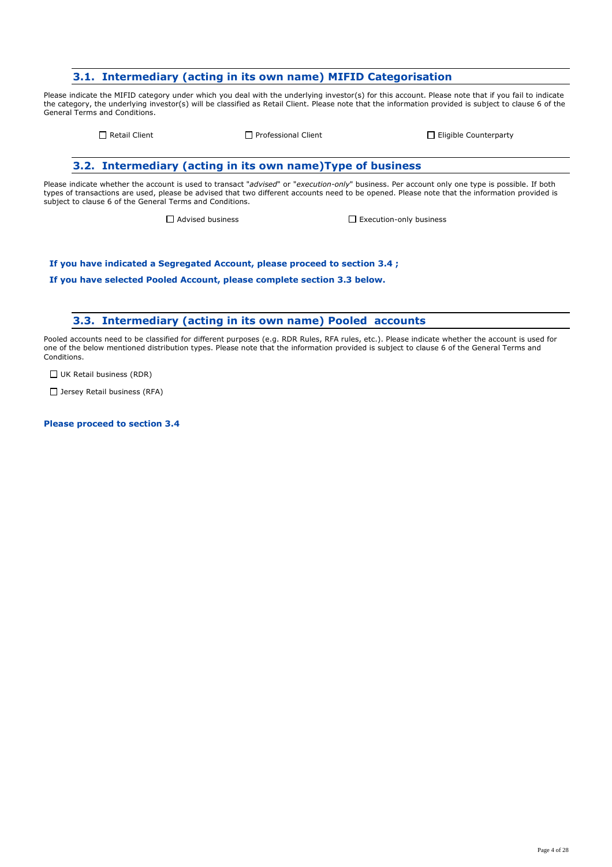### **3.1. Intermediary (acting in its own name) MIFID Categorisation**

Please indicate the MIFID category under which you deal with the underlying investor(s) for this account. Please note that if you fail to indicate the category, the underlying investor(s) will be classified as Retail Client. Please note that the information provided is subject to clause 6 of the General Terms and Conditions.

 $\Box$  Retail Client  $\Box$  Professional Client  $\Box$  Eligible Counterparty

### **3.2. Intermediary (acting in its own name)Type of business**

Please indicate whether the account is used to transact "*advised*" or "*execution-only*" business. Per account only one type is possible. If both types of transactions are used, please be advised that two different accounts need to be opened. Please note that the information provided is subject to clause 6 of the General Terms and Conditions.

□ Advised business <br>
■ Execution-only business

**If you have indicated a Segregated Account, please proceed to section 3.4 ;** 

**If you have selected Pooled Account, please complete section 3.3 below.**

#### **3.3. Intermediary (acting in its own name) Pooled accounts**

Pooled accounts need to be classified for different purposes (e.g. RDR Rules, RFA rules, etc.). Please indicate whether the account is used for one of the below mentioned distribution types. Please note that the information provided is subject to clause 6 of the General Terms and Conditions.

 $\Box$  UK Retail business (RDR)

 $\Box$  Jersey Retail business (RFA)

**Please proceed to section 3.4**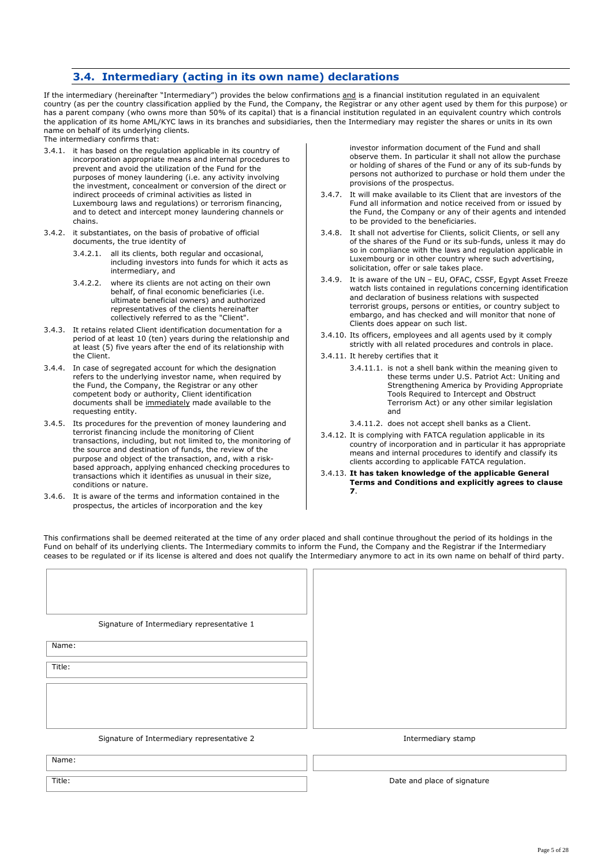### **3.4. Intermediary (acting in its own name) declarations**

If the intermediary (hereinafter "Intermediary") provides the below confirmations and is a financial institution regulated in an equivalent country (as per the country classification applied by the Fund, the Company, the Registrar or any other agent used by them for this purpose) or has a parent company (who owns more than 50% of its capital) that is a financial institution regulated in an equivalent country which controls the application of its home AML/KYC laws in its branches and subsidiaries, then the Intermediary may register the shares or units in its own name on behalf of its underlying clients.

The intermediary confirms that:

- 3.4.1. it has based on the regulation applicable in its country of incorporation appropriate means and internal procedures to prevent and avoid the utilization of the Fund for the purposes of money laundering (i.e. any activity involving the investment, concealment or conversion of the direct or indirect proceeds of criminal activities as listed in Luxembourg laws and regulations) or terrorism financing, and to detect and intercept money laundering channels or chains.
- 3.4.2. it substantiates, on the basis of probative of official documents, the true identity of
	- 3.4.2.1. all its clients, both regular and occasional, including investors into funds for which it acts as intermediary, and
	- 3.4.2.2. where its clients are not acting on their own behalf, of final economic beneficiaries (i.e. ultimate beneficial owners) and authorized representatives of the clients hereinafter collectively referred to as the "Client".
- 3.4.3. It retains related Client identification documentation for a period of at least 10 (ten) years during the relationship and at least (5) five years after the end of its relationship with the Client.
- 3.4.4. In case of segregated account for which the designation refers to the underlying investor name, when required by the Fund, the Company, the Registrar or any other competent body or authority, Client identification documents shall be immediately made available to the requesting entity.
- 3.4.5. Its procedures for the prevention of money laundering and terrorist financing include the monitoring of Client transactions, including, but not limited to, the monitoring of the source and destination of funds, the review of the purpose and object of the transaction, and, with a riskbased approach, applying enhanced checking procedures to transactions which it identifies as unusual in their size, conditions or nature.
- 3.4.6. It is aware of the terms and information contained in the prospectus, the articles of incorporation and the key

investor information document of the Fund and shall observe them. In particular it shall not allow the purchase or holding of shares of the Fund or any of its sub-funds by persons not authorized to purchase or hold them under the provisions of the prospectus.

- 3.4.7. It will make available to its Client that are investors of the Fund all information and notice received from or issued by the Fund, the Company or any of their agents and intended to be provided to the beneficiaries.
- 3.4.8. It shall not advertise for Clients, solicit Clients, or sell any of the shares of the Fund or its sub-funds, unless it may do so in compliance with the laws and regulation applicable in Luxembourg or in other country where such advertising, solicitation, offer or sale takes place.
- 3.4.9. It is aware of the UN EU, OFAC, CSSF, Egypt Asset Freeze watch lists contained in regulations concerning identification and declaration of business relations with suspected terrorist groups, persons or entities, or country subject to embargo, and has checked and will monitor that none of Clients does appear on such list.
- 3.4.10. Its officers, employees and all agents used by it comply strictly with all related procedures and controls in place.
- 3.4.11. It hereby certifies that it
	- 3.4.11.1. is not a shell bank within the meaning given to these terms under U.S. Patriot Act: Uniting and Strengthening America by Providing Appropriate Tools Required to Intercept and Obstruct Terrorism Act) or any other similar legislation and
	- 3.4.11.2. does not accept shell banks as a Client.
- 3.4.12. It is complying with FATCA regulation applicable in its country of incorporation and in particular it has appropriate means and internal procedures to identify and classify its clients according to applicable FATCA regulation.
- 3.4.13. **It has taken knowledge of the applicable General Terms and Conditions and explicitly agrees to clause 7**.

This confirmations shall be deemed reiterated at the time of any order placed and shall continue throughout the period of its holdings in the Fund on behalf of its underlying clients. The Intermediary commits to inform the Fund, the Company and the Registrar if the Intermediary ceases to be regulated or if its license is altered and does not qualify the Intermediary anymore to act in its own name on behalf of third party.

| Signature of Intermediary representative 1 |                             |
|--------------------------------------------|-----------------------------|
| Name:                                      |                             |
| Title:                                     |                             |
|                                            |                             |
|                                            |                             |
| Signature of Intermediary representative 2 | Intermediary stamp          |
| Name:                                      |                             |
| Title:                                     | Date and place of signature |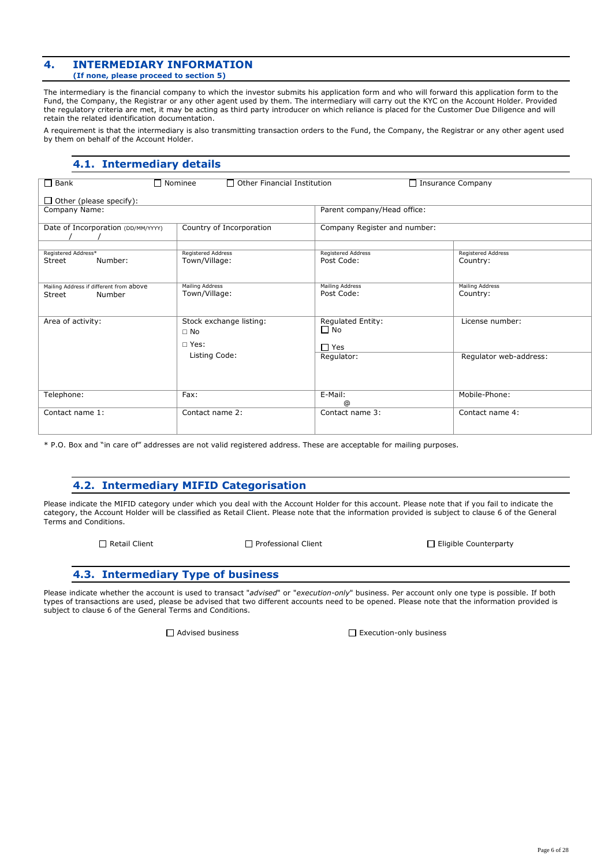#### **4. INTERMEDIARY INFORMATION (If none, please proceed to section 5)**

The intermediary is the financial company to which the investor submits his application form and who will forward this application form to the Fund, the Company, the Registrar or any other agent used by them. The intermediary will carry out the KYC on the Account Holder. Provided the regulatory criteria are met, it may be acting as third party introducer on which reliance is placed for the Customer Due Diligence and will retain the related identification documentation.

A requirement is that the intermediary is also transmitting transaction orders to the Fund, the Company, the Registrar or any other agent used by them on behalf of the Account Holder.

### **4.1. Intermediary details**

| $\Box$ Bank<br>$\Box$ Nominee<br>$\Box$ Other Financial Institution<br>$\Box$ Insurance Company |                                                       |                                              |                                       |
|-------------------------------------------------------------------------------------------------|-------------------------------------------------------|----------------------------------------------|---------------------------------------|
| $\Box$ Other (please specify):                                                                  |                                                       |                                              |                                       |
| Company Name:                                                                                   |                                                       | Parent company/Head office:                  |                                       |
| Date of Incorporation (DD/MM/YYYY)                                                              | Country of Incorporation                              | Company Register and number:                 |                                       |
| Registered Address*<br>Number:<br>Street                                                        | <b>Registered Address</b><br>Town/Village:            | <b>Registered Address</b><br>Post Code:      | <b>Registered Address</b><br>Country: |
| Mailing Address if different from above<br>Number<br>Street                                     | <b>Mailing Address</b><br>Town/Village:               | <b>Mailing Address</b><br>Post Code:         | <b>Mailing Address</b><br>Country:    |
| Area of activity:                                                                               | Stock exchange listing:<br>$\Box$ No<br>$\sqcap$ Yes: | Regulated Entity:<br>$\Box$ No<br>$\Box$ Yes | License number:                       |
|                                                                                                 | Listing Code:                                         | Regulator:                                   | Regulator web-address:                |
| Telephone:                                                                                      | Fax:                                                  | E-Mail:<br>$^{\circ}$                        | Mobile-Phone:                         |
| Contact name 1:                                                                                 | Contact name 2:                                       | Contact name 3:                              | Contact name 4:                       |

\* P.O. Box and "in care of" addresses are not valid registered address. These are acceptable for mailing purposes.

### **4.2. Intermediary MIFID Categorisation**

Please indicate the MIFID category under which you deal with the Account Holder for this account. Please note that if you fail to indicate the category, the Account Holder will be classified as Retail Client. Please note that the information provided is subject to clause 6 of the General Terms and Conditions.

Retail Client Professional Client Eligible Counterparty

### **4.3. Intermediary Type of business**

Please indicate whether the account is used to transact "*advised*" or "*execution-only*" business. Per account only one type is possible. If both types of transactions are used, please be advised that two different accounts need to be opened. Please note that the information provided is subject to clause 6 of the General Terms and Conditions.

Advised business Execution-only business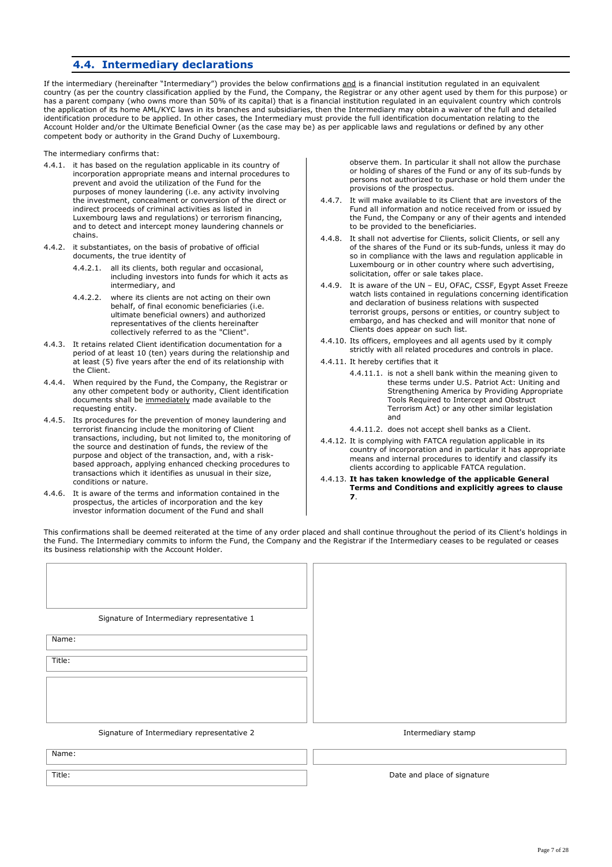### **4.4. Intermediary declarations**

If the intermediary (hereinafter "Intermediary") provides the below confirmations and is a financial institution regulated in an equivalent country (as per the country classification applied by the Fund, the Company, the Registrar or any other agent used by them for this purpose) or has a parent company (who owns more than 50% of its capital) that is a financial institution regulated in an equivalent country which controls the application of its home AML/KYC laws in its branches and subsidiaries, then the Intermediary may obtain a waiver of the full and detailed identification procedure to be applied. In other cases, the Intermediary must provide the full identification documentation relating to the Account Holder and/or the Ultimate Beneficial Owner (as the case may be) as per applicable laws and regulations or defined by any other competent body or authority in the Grand Duchy of Luxembourg.

The intermediary confirms that:

- 4.4.1. it has based on the regulation applicable in its country of incorporation appropriate means and internal procedures to prevent and avoid the utilization of the Fund for the purposes of money laundering (i.e. any activity involving the investment, concealment or conversion of the direct or indirect proceeds of criminal activities as listed in Luxembourg laws and regulations) or terrorism financing, and to detect and intercept money laundering channels or chains.
- 4.4.2. it substantiates, on the basis of probative of official documents, the true identity of
	- 4.4.2.1. all its clients, both regular and occasional, including investors into funds for which it acts as intermediary, and
	- 4.4.2.2. where its clients are not acting on their own behalf, of final economic beneficiaries (i.e. ultimate beneficial owners) and authorized representatives of the clients hereinafter collectively referred to as the "Client".
- 4.4.3. It retains related Client identification documentation for a period of at least 10 (ten) years during the relationship and at least (5) five years after the end of its relationship with the Client.
- 4.4.4. When required by the Fund, the Company, the Registrar or any other competent body or authority, Client identification documents shall be immediately made available to the requesting entity.
- 4.4.5. Its procedures for the prevention of money laundering and terrorist financing include the monitoring of Client transactions, including, but not limited to, the monitoring of the source and destination of funds, the review of the purpose and object of the transaction, and, with a riskbased approach, applying enhanced checking procedures to transactions which it identifies as unusual in their size, conditions or nature.
- 4.4.6. It is aware of the terms and information contained in the prospectus, the articles of incorporation and the key investor information document of the Fund and shall

observe them. In particular it shall not allow the purchase or holding of shares of the Fund or any of its sub-funds by persons not authorized to purchase or hold them under the provisions of the prospectus.

- 4.4.7. It will make available to its Client that are investors of the Fund all information and notice received from or issued by the Fund, the Company or any of their agents and intended to be provided to the beneficiaries.
- 4.4.8. It shall not advertise for Clients, solicit Clients, or sell any of the shares of the Fund or its sub-funds, unless it may do so in compliance with the laws and regulation applicable in Luxembourg or in other country where such advertising, solicitation, offer or sale takes place.
- 4.4.9. It is aware of the UN EU, OFAC, CSSF, Egypt Asset Freeze watch lists contained in regulations concerning identification and declaration of business relations with suspected terrorist groups, persons or entities, or country subject to embargo, and has checked and will monitor that none of Clients does appear on such list.
- 4.4.10. Its officers, employees and all agents used by it comply strictly with all related procedures and controls in place.
- 4.4.11. It hereby certifies that it
	- 4.4.11.1. is not a shell bank within the meaning given to these terms under U.S. Patriot Act: Uniting and Strengthening America by Providing Appropriate Tools Required to Intercept and Obstruct Terrorism Act) or any other similar legislation and
	- 4.4.11.2. does not accept shell banks as a Client.
- 4.4.12. It is complying with FATCA regulation applicable in its country of incorporation and in particular it has appropriate means and internal procedures to identify and classify its clients according to applicable FATCA regulation.
- 4.4.13. **It has taken knowledge of the applicable General Terms and Conditions and explicitly agrees to clause 7**.

This confirmations shall be deemed reiterated at the time of any order placed and shall continue throughout the period of its Client's holdings in the Fund. The Intermediary commits to inform the Fund, the Company and the Registrar if the Intermediary ceases to be regulated or ceases its business relationship with the Account Holder.

| Signature of Intermediary representative 1 |                             |
|--------------------------------------------|-----------------------------|
| Name:                                      |                             |
| Title:                                     |                             |
|                                            |                             |
|                                            |                             |
| Signature of Intermediary representative 2 | Intermediary stamp          |
| Name:                                      |                             |
| Title:                                     |                             |
|                                            | Date and place of signature |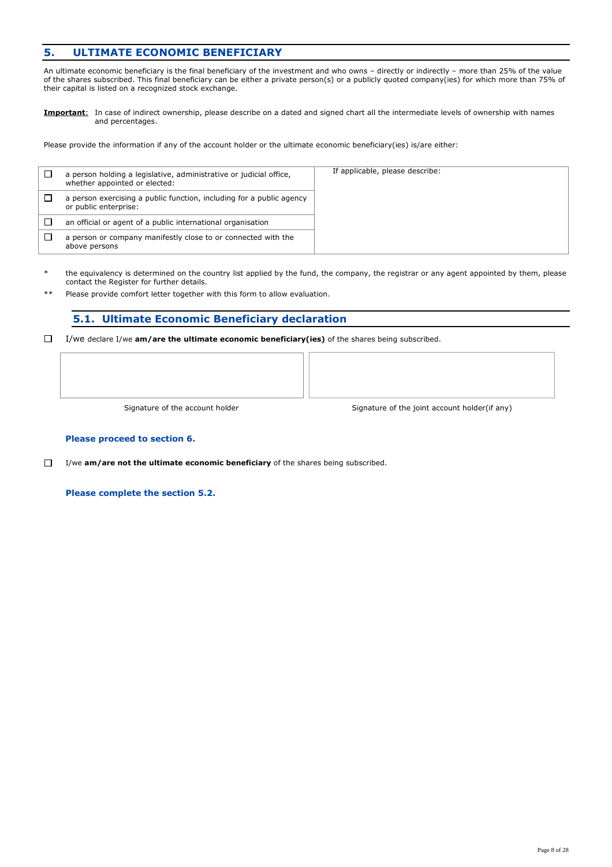### **5. ULTIMATE ECONOMIC BENEFICIARY**

An ultimate economic beneficiary is the final beneficiary of the investment and who owns – directly or indirectly – more than 25% of the value of the shares subscribed. This final beneficiary can be either a private person(s) or a publicly quoted company(ies) for which more than 75% of their capital is listed on a recognized stock exchange.

**Important**: In case of indirect ownership, please describe on a dated and signed chart all the intermediate levels of ownership with names and percentages.

Please provide the information if any of the account holder or the ultimate economic beneficiary(ies) is/are either:

| a person holding a legislative, administrative or judicial office,<br>whether appointed or elected: | If applicable, please describe: |
|-----------------------------------------------------------------------------------------------------|---------------------------------|
| a person exercising a public function, including for a public agency<br>or public enterprise:       |                                 |
| an official or agent of a public international organisation                                         |                                 |
| a person or company manifestly close to or connected with the<br>above persons                      |                                 |

the equivalency is determined on the country list applied by the fund, the company, the registrar or any agent appointed by them, please contact the Register for further details.

Please provide comfort letter together with this form to allow evaluation.

### **5.1. Ultimate Economic Beneficiary declaration**

 $\Box$ I/we declare I/we **am/are the ultimate economic beneficiary(ies)** of the shares being subscribed.

Signature of the account holder

Signature of the joint account holder(if any)

#### **Please proceed to section 6.**

 $\Box$ I/we **am/are not the ultimate economic beneficiary** of the shares being subscribed.

**Please complete the section 5.2.**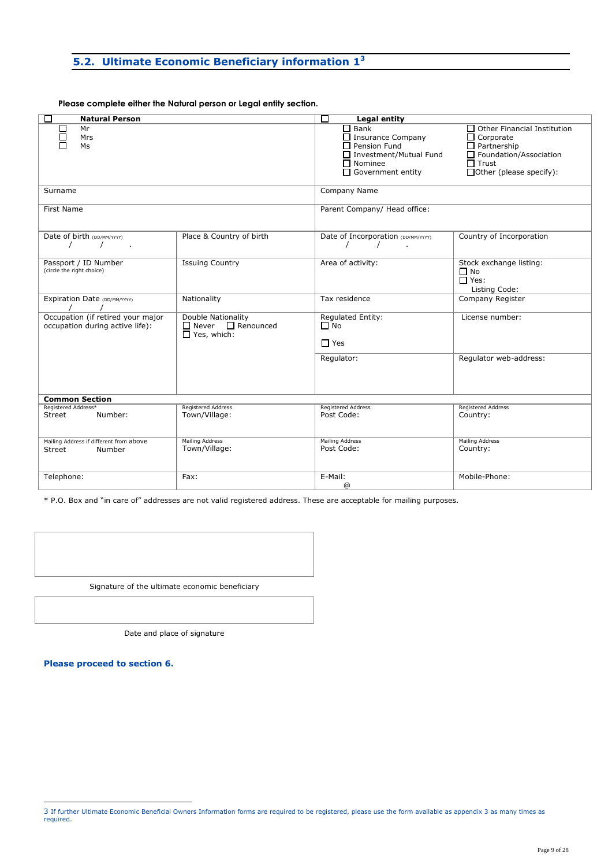### **5.2. Ultimate Economic Beneficiary information 1<sup>3</sup>**

**Please complete either the Natural person or Legal entity section.**

| □<br><b>Natural Person</b>                                           |                                                                           | $\Box$<br><b>Legal entity</b>                                                                                                            |                                                                                                                                                                 |
|----------------------------------------------------------------------|---------------------------------------------------------------------------|------------------------------------------------------------------------------------------------------------------------------------------|-----------------------------------------------------------------------------------------------------------------------------------------------------------------|
| Mr<br>Mrs<br>Ms                                                      |                                                                           | $\Box$ Bank<br>$\Box$ Insurance Company<br>$\Box$ Pension Fund<br>□ Investment/Mutual Fund<br>$\Box$ Nominee<br>$\Box$ Government entity | $\Box$ Other Financial Institution<br>$\Box$ Corporate<br>$\Box$ Partnership<br>$\Box$ Foundation/Association<br>$\Box$ Trust<br>$\Box$ Other (please specify): |
| Surname                                                              |                                                                           | Company Name                                                                                                                             |                                                                                                                                                                 |
| First Name                                                           |                                                                           | Parent Company/ Head office:                                                                                                             |                                                                                                                                                                 |
| Date of birth (DD/MM/YYYY)<br>ä,                                     | Place & Country of birth                                                  | Date of Incorporation (DD/MM/YYYY)                                                                                                       | Country of Incorporation                                                                                                                                        |
| Passport / ID Number<br>(circle the right choice)                    | <b>Issuing Country</b>                                                    | Area of activity:                                                                                                                        | Stock exchange listing:<br>$\Box$ No<br>$\Box$ Yes:<br>Listing Code:                                                                                            |
| Expiration Date (DD/MM/YYYY)                                         | Nationality                                                               | Tax residence                                                                                                                            | Company Register                                                                                                                                                |
| Occupation (if retired your major<br>occupation during active life): | Double Nationality<br>$\Box$ Never $\Box$ Renounced<br>$\Box$ Yes, which: | <b>Regulated Entity:</b><br>$\Box$ No<br>$\Box$ Yes                                                                                      | License number:                                                                                                                                                 |
|                                                                      |                                                                           | Regulator:                                                                                                                               | Regulator web-address:                                                                                                                                          |
| <b>Common Section</b>                                                |                                                                           |                                                                                                                                          |                                                                                                                                                                 |
| Registered Address*<br>Number:<br>Street                             | <b>Registered Address</b><br>Town/Village:                                | <b>Registered Address</b><br>Post Code:                                                                                                  | <b>Registered Address</b><br>Country:                                                                                                                           |
| Mailing Address if different from above<br>Street<br>Number          | Mailing Address<br>Town/Village:                                          | <b>Mailing Address</b><br>Post Code:                                                                                                     | <b>Mailing Address</b><br>Country:                                                                                                                              |
| Telephone:                                                           | Fax:                                                                      | E-Mail:<br>@                                                                                                                             | Mobile-Phone:                                                                                                                                                   |

\* P.O. Box and "in care of" addresses are not valid registered address. These are acceptable for mailing purposes.



Date and place of signature

**Please proceed to section 6.** 

-

<sup>3</sup> If further Ultimate Economic Beneficial Owners Information forms are required to be registered, please use the form available as appendix 3 as many times as required.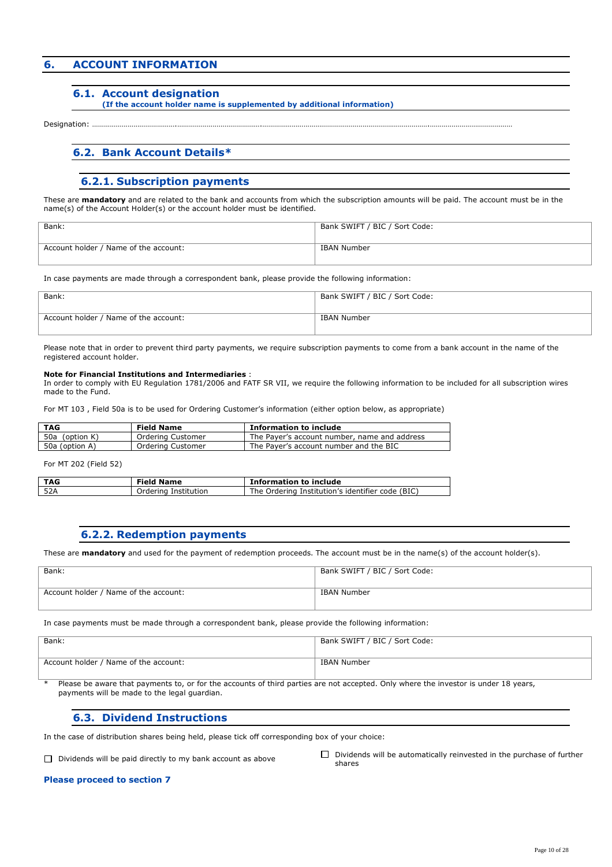### **6. ACCOUNT INFORMATION**

#### **6.1. Account designation**

#### **(If the account holder name is supplemented by additional information)**

Designation: .

#### **6.2. Bank Account Details\***

#### **6.2.1. Subscription payments**

These are **mandatory** and are related to the bank and accounts from which the subscription amounts will be paid. The account must be in the name(s) of the Account Holder(s) or the account holder must be identified.

| Bank:                                 | Bank SWIFT / BIC / Sort Code: |
|---------------------------------------|-------------------------------|
| Account holder / Name of the account: | IBAN Number                   |

In case payments are made through a correspondent bank, please provide the following information:

| Bank:                                 | Bank SWIFT / BIC / Sort Code: |
|---------------------------------------|-------------------------------|
| Account holder / Name of the account: | IBAN Number                   |

Please note that in order to prevent third party payments, we require subscription payments to come from a bank account in the name of the registered account holder.

#### **Note for Financial Institutions and Intermediaries** :

In order to comply with EU Regulation 1781/2006 and FATF SR VII, we require the following information to be included for all subscription wires made to the Fund.

For MT 103 , Field 50a is to be used for Ordering Customer's information (either option below, as appropriate)

| <b>TAG</b>     | <b>Field Name</b> | <b>Information to include</b>                |
|----------------|-------------------|----------------------------------------------|
| 50a (option K) | Ordering Customer | The Payer's account number, name and address |
| 50a (option A) | Ordering Customer | The Payer's account number and the BIC       |

For MT 202 (Field 52)

| TAG | <b>Field Name</b>    | <b>Information to include</b>                    |
|-----|----------------------|--------------------------------------------------|
| 52A | Ordering Institution | The Ordering Institution's identifier code (BIC) |

#### **6.2.2. Redemption payments**

These are **mandatory** and used for the payment of redemption proceeds. The account must be in the name(s) of the account holder(s).

| Bank:                                 | Bank SWIFT / BIC / Sort Code: |
|---------------------------------------|-------------------------------|
| Account holder / Name of the account: | IBAN Number                   |

In case payments must be made through a correspondent bank, please provide the following information:

| Bank:                                 | Bank SWIFT / BIC / Sort Code: |
|---------------------------------------|-------------------------------|
| Account holder / Name of the account: | IBAN Number                   |

Please be aware that payments to, or for the accounts of third parties are not accepted. Only where the investor is under 18 years, payments will be made to the legal guardian.

#### **6.3. Dividend Instructions**

In the case of distribution shares being held, please tick off corresponding box of your choice:

Dividends will be paid directly to my bank account as above  $\Box$  Dividends will be automatically reinvested in the purchase of further shares

#### **Please proceed to section 7**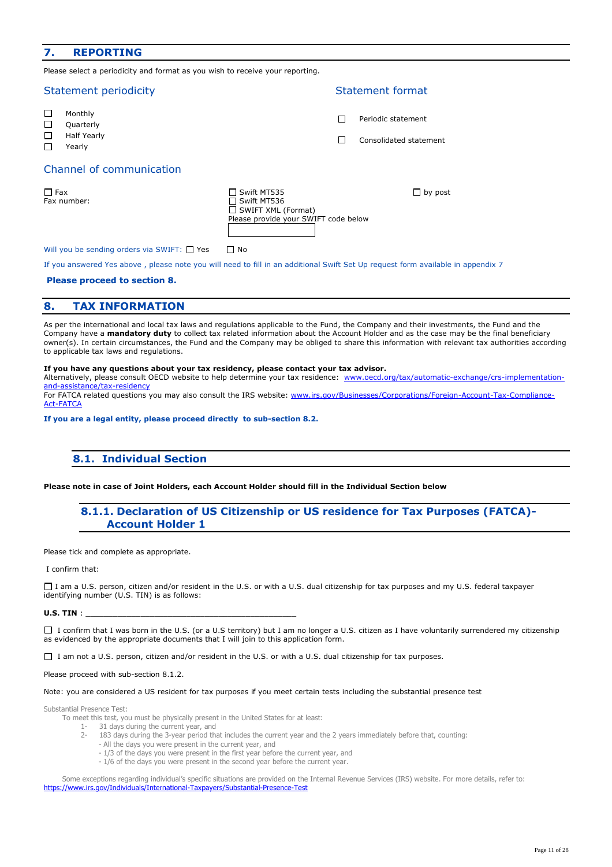### **7. REPORTING**

Please select a periodicity and format as you wish to receive your reporting.

|                       | <b>Statement periodicity</b>                         |                                                                                                 | Statement format                             |
|-----------------------|------------------------------------------------------|-------------------------------------------------------------------------------------------------|----------------------------------------------|
| □<br>□<br>$\Box$<br>П | Monthly<br>Quarterly<br><b>Half Yearly</b><br>Yearly |                                                                                                 | Periodic statement<br>Consolidated statement |
|                       | Channel of communication                             |                                                                                                 |                                              |
| $\Box$ Fax            | Fax number:                                          | Swift MT535<br>Swift MT536<br>$\Box$ SWIFT XML (Format)<br>Please provide your SWIFT code below | $\Box$ by post                               |
|                       | Will you be sending orders via SWIFT: $\Box$ Yes     | No                                                                                              |                                              |

If you answered Yes above , please note you will need to fill in an additional Swift Set Up request form available in appendix 7

#### **Please proceed to section 8.**

#### **8. TAX INFORMATION**

As per the international and local tax laws and regulations applicable to the Fund, the Company and their investments, the Fund and the Company have a **mandatory duty** to collect tax related information about the Account Holder and as the case may be the final beneficiary owner(s). In certain circumstances, the Fund and the Company may be obliged to share this information with relevant tax authorities according to applicable tax laws and regulations.

#### **If you have any questions about your tax residency, please contact your tax advisor.**

Alternatively, please consult OECD website to help determine your tax residence: www.oecd.org/tax/automatic-exchange/crs-implementationand-assistance/tax-residency

For FATCA related questions you may also consult the IRS website: www.irs.gov/Businesses/Corporations/Foreign-Account-Tax-Compliance-Act-FATCA

**If you are a legal entity, please proceed directly to sub-section 8.2.** 

#### **8.1. Individual Section**

**Please note in case of Joint Holders, each Account Holder should fill in the Individual Section below** 

#### **8.1.1. Declaration of US Citizenship or US residence for Tax Purposes (FATCA)- Account Holder 1**

Please tick and complete as appropriate.

#### I confirm that:

I am a U.S. person, citizen and/or resident in the U.S. or with a U.S. dual citizenship for tax purposes and my U.S. federal taxpayer identifying number (U.S. TIN) is as follows:

#### **U.S. TIN** :

 $\Box$  I confirm that I was born in the U.S. (or a U.S territory) but I am no longer a U.S. citizen as I have voluntarily surrendered my citizenship  $\overline{a}$  as evidenced by the appropriate documents that I will join to this application form.

□ I am not a U.S. person, citizen and/or resident in the U.S. or with a U.S. dual citizenship for tax purposes.

#### Please proceed with sub-section 8.1.2.

#### Note: you are considered a US resident for tax purposes if you meet certain tests including the substantial presence test

Substantial Presence Test:

- To meet this test, you must be physically present in the United States for at least:
	- 1- 31 days during the current year, and
	- 2- 183 days during the 3-year period that includes the current year and the 2 years immediately before that, counting:
		- All the days you were present in the current year, and
		- 1/3 of the days you were present in the first year before the current year, and
		- 1/6 of the days you were present in the second year before the current year.

Some exceptions regarding individual's specific situations are provided on the Internal Revenue Services (IRS) website. For more details, refer to: https://www.irs.gov/Individuals/International-Taxpayers/Substantial-Presence-Test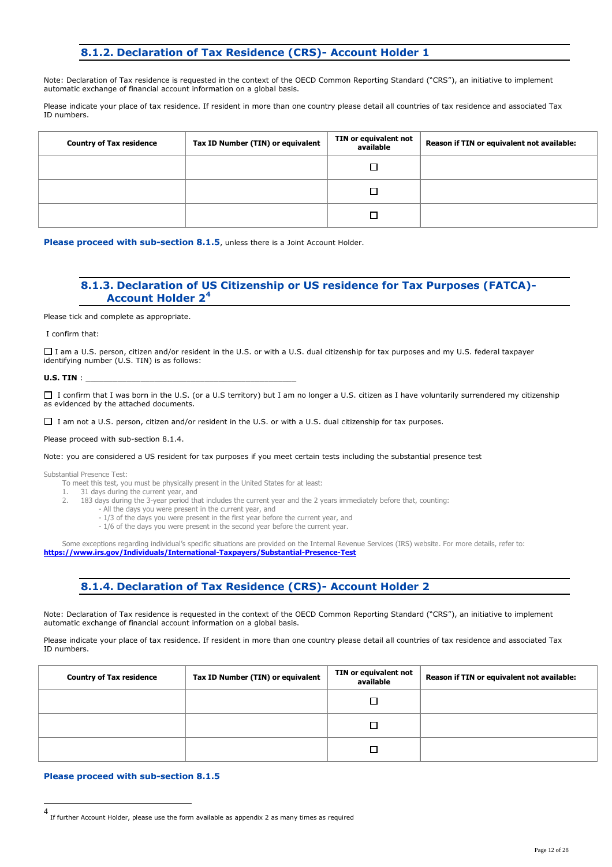### **8.1.2. Declaration of Tax Residence (CRS)- Account Holder 1**

Note: Declaration of Tax residence is requested in the context of the OECD Common Reporting Standard ("CRS"), an initiative to implement automatic exchange of financial account information on a global basis.

Please indicate your place of tax residence. If resident in more than one country please detail all countries of tax residence and associated Tax ID numbers.

| <b>Country of Tax residence</b> | Tax ID Number (TIN) or equivalent | TIN or equivalent not<br>available | Reason if TIN or equivalent not available: |
|---------------------------------|-----------------------------------|------------------------------------|--------------------------------------------|
|                                 |                                   |                                    |                                            |
|                                 |                                   |                                    |                                            |
|                                 |                                   |                                    |                                            |

Please proceed with sub-section 8.1.5, unless there is a Joint Account Holder.

#### **8.1.3. Declaration of US Citizenship or US residence for Tax Purposes (FATCA)- Account Holder 2<sup>4</sup>**

Please tick and complete as appropriate.

I confirm that:

I am a U.S. person, citizen and/or resident in the U.S. or with a U.S. dual citizenship for tax purposes and my U.S. federal taxpayer identifying number (U.S. TIN) is as follows:

**U.S. TIN** :

□ I confirm that I was born in the U.S. (or a U.S territory) but I am no longer a U.S. citizen as I have voluntarily surrendered my citizenship as evidenced by the attached documents.

I am not a U.S. person, citizen and/or resident in the U.S. or with a U.S. dual citizenship for tax purposes.

Please proceed with sub-section 8.1.4.

Note: you are considered a US resident for tax purposes if you meet certain tests including the substantial presence test

Substantial Presence Test:

To meet this test, you must be physically present in the United States for at least:

1. 31 days during the current year, and

- 2. 183 days during the 3-year period that includes the current year and the 2 years immediately before that, counting:
	- All the days you were present in the current year, and
		- 1/3 of the days you were present in the first year before the current year, and
		- 1/6 of the days you were present in the second year before the current year.

Some exceptions regarding individual's specific situations are provided on the Internal Revenue Services (IRS) website. For more details, refer to: **https://www.irs.gov/Individuals/International-Taxpayers/Substantial-Presence-Test**

**8.1.4. Declaration of Tax Residence (CRS)- Account Holder 2**

Note: Declaration of Tax residence is requested in the context of the OECD Common Reporting Standard ("CRS"), an initiative to implement automatic exchange of financial account information on a global basis.

Please indicate your place of tax residence. If resident in more than one country please detail all countries of tax residence and associated Tax ID numbers.

| <b>Country of Tax residence</b> | Tax ID Number (TIN) or equivalent | TIN or equivalent not<br>available | Reason if TIN or equivalent not available: |
|---------------------------------|-----------------------------------|------------------------------------|--------------------------------------------|
|                                 |                                   |                                    |                                            |
|                                 |                                   |                                    |                                            |
|                                 |                                   |                                    |                                            |

#### **Please proceed with sub-section 8.1.5**

 4 If further Account Holder, please use the form available as appendix 2 as many times as required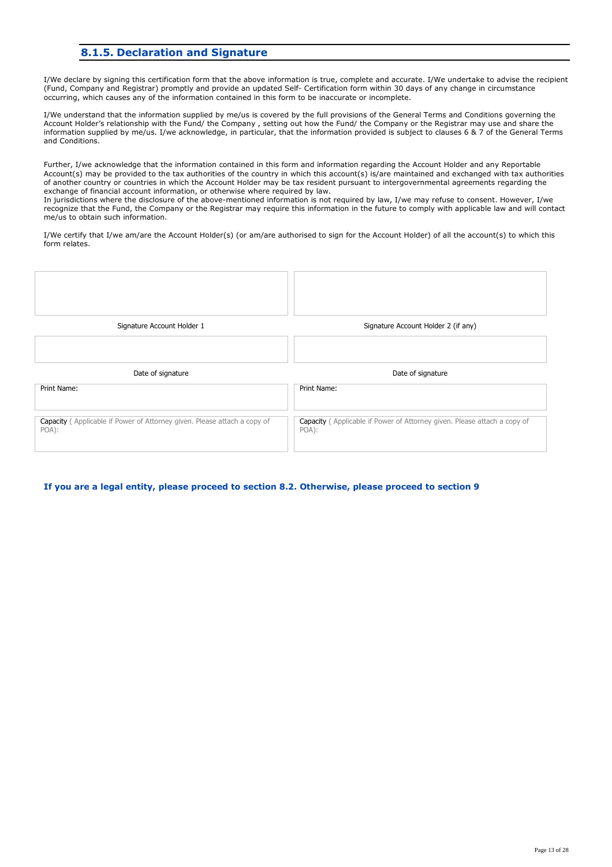### **8.1.5. Declaration and Signature**

I/We declare by signing this certification form that the above information is true, complete and accurate. I/We undertake to advise the recipient (Fund, Company and Registrar) promptly and provide an updated Self- Certification form within 30 days of any change in circumstance occurring, which causes any of the information contained in this form to be inaccurate or incomplete.

I/We understand that the information supplied by me/us is covered by the full provisions of the General Terms and Conditions governing the Account Holder's relationship with the Fund/ the Company , setting out how the Fund/ the Company or the Registrar may use and share the information supplied by me/us. I/we acknowledge, in particular, that the information provided is subject to clauses 6 & 7 of the General Terms and Conditions.

Further, I/we acknowledge that the information contained in this form and information regarding the Account Holder and any Reportable Account(s) may be provided to the tax authorities of the country in which this account(s) is/are maintained and exchanged with tax authorities of another country or countries in which the Account Holder may be tax resident pursuant to intergovernmental agreements regarding the exchange of financial account information, or otherwise where required by law.

In jurisdictions where the disclosure of the above-mentioned information is not required by law, I/we may refuse to consent. However, I/we recognize that the Fund, the Company or the Registrar may require this information in the future to comply with applicable law and will contact me/us to obtain such information.

I/We certify that I/we am/are the Account Holder(s) (or am/are authorised to sign for the Account Holder) of all the account(s) to which this form relates.

TГ

| Signature Account Holder 1 | Signature Account Holder 2 (if any) |
|----------------------------|-------------------------------------|
|                            |                                     |
|                            |                                     |
| Date of signature          | Date of signature                   |
| Print Name:                | Print Name:                         |

**If you are a legal entity, please proceed to section 8.2. Otherwise, please proceed to section 9**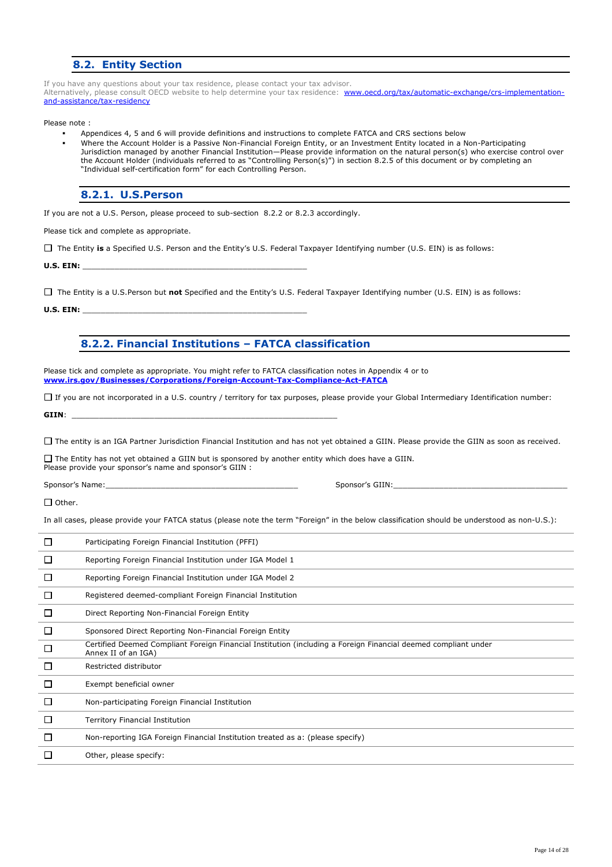### **8.2. Entity Section**

If you have any questions about your tax residence, please contact your tax advisor. Alternatively, please consult OECD website to help determine your tax residence: www.oecd.org/tax/automatic-exchange/crs-implementationand-assistance/tax-residency

Please note :

- Appendices 4, 5 and 6 will provide definitions and instructions to complete FATCA and CRS sections below
- Where the Account Holder is a Passive Non-Financial Foreign Entity, or an Investment Entity located in a Non-Participating Jurisdiction managed by another Financial Institution—Please provide information on the natural person(s) who exercise control over the Account Holder (individuals referred to as "Controlling Person(s)") in section 8.2.5 of this document or by completing an "Individual self-certification form" for each Controlling Person.

**8.2.1. U.S.Person** 

If you are not a U.S. Person, please proceed to sub-section 8.2.2 or 8.2.3 accordingly.

Please tick and complete as appropriate.

The Entity **is** a Specified U.S. Person and the Entity's U.S. Federal Taxpayer Identifying number (U.S. EIN) is as follows:

**U.S. EIN:** \_\_\_\_\_\_\_\_\_\_\_\_\_\_\_\_\_\_\_\_\_\_\_\_\_\_\_\_\_\_\_\_\_\_\_\_\_\_\_\_\_\_\_\_\_\_\_\_\_

The Entity is a U.S.Person but **not** Specified and the Entity's U.S. Federal Taxpayer Identifying number (U.S. EIN) is as follows:

**U.S. EIN:** \_\_\_\_\_\_\_\_\_\_\_\_\_\_\_\_\_\_\_\_\_\_\_\_\_\_\_\_\_\_\_\_\_\_\_\_\_\_\_\_\_\_\_\_\_\_\_\_\_

**8.2.2. Financial Institutions – FATCA classification** 

Please tick and complete as appropriate. You might refer to FATCA classification notes in Appendix 4 or to **www.irs.gov/Businesses/Corporations/Foreign-Account-Tax-Compliance-Act-FATCA**

If you are not incorporated in a U.S. country / territory for tax purposes, please provide your Global Intermediary Identification number:

**GIIN**: \_\_\_\_\_\_\_\_\_\_\_\_\_\_\_\_\_\_\_\_\_\_\_\_\_\_\_\_\_\_\_\_\_\_\_\_\_\_\_\_\_\_\_\_\_\_\_\_\_\_\_\_\_\_\_\_\_\_

The entity is an IGA Partner Jurisdiction Financial Institution and has not yet obtained a GIIN. Please provide the GIIN as soon as received.

 $\Box$  The Entity has not yet obtained a GIIN but is sponsored by another entity which does have a GIIN. Please provide your sponsor's name and sponsor's GIIN :

Sponsor's Name:\_\_\_\_\_\_\_\_\_\_\_\_\_\_\_\_\_\_\_\_\_\_\_\_\_\_\_\_\_\_\_\_\_\_\_\_\_\_\_\_\_\_ Sponsor's GIIN:\_\_\_\_\_\_\_\_\_\_\_\_\_\_\_\_\_\_\_\_\_\_\_\_\_\_\_\_\_\_\_\_\_\_\_\_\_\_

 $\Box$  Other.

In all cases, please provide your FATCA status (please note the term "Foreign" in the below classification should be understood as non-U.S.):

| L            | Participating Foreign Financial Institution (PFFI)                                                                                    |
|--------------|---------------------------------------------------------------------------------------------------------------------------------------|
| $\mathbf{L}$ | Reporting Foreign Financial Institution under IGA Model 1                                                                             |
|              | Reporting Foreign Financial Institution under IGA Model 2                                                                             |
| L            | Registered deemed-compliant Foreign Financial Institution                                                                             |
|              | Direct Reporting Non-Financial Foreign Entity                                                                                         |
| L            | Sponsored Direct Reporting Non-Financial Foreign Entity                                                                               |
| $\Box$       | Certified Deemed Compliant Foreign Financial Institution (including a Foreign Financial deemed compliant under<br>Annex II of an IGA) |
| П            | Restricted distributor                                                                                                                |
| □            | Exempt beneficial owner                                                                                                               |
| $\Box$       | Non-participating Foreign Financial Institution                                                                                       |
| L            | Territory Financial Institution                                                                                                       |
| $\Box$       | Non-reporting IGA Foreign Financial Institution treated as a: (please specify)                                                        |
|              | Other, please specify:                                                                                                                |
|              |                                                                                                                                       |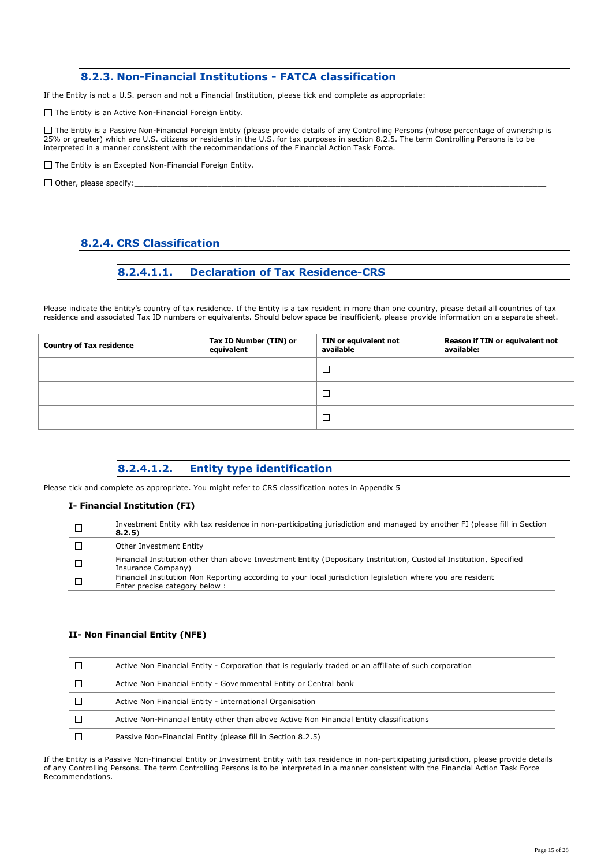### **8.2.3. Non-Financial Institutions - FATCA classification**

If the Entity is not a U.S. person and not a Financial Institution, please tick and complete as appropriate:

 $\Box$  The Entity is an Active Non-Financial Foreign Entity.

The Entity is a Passive Non-Financial Foreign Entity (please provide details of any Controlling Persons (whose percentage of ownership is 25% or greater) which are U.S. citizens or residents in the U.S. for tax purposes in section 8.2.5. The term Controlling Persons is to be interpreted in a manner consistent with the recommendations of the Financial Action Task Force.

 $\Box$  The Entity is an Excepted Non-Financial Foreign Entity.

 $\Box$  Other, please specify:

### **8.2.4. CRS Classification**

### **8.2.4.1.1. Declaration of Tax Residence-CRS**

Please indicate the Entity's country of tax residence. If the Entity is a tax resident in more than one country, please detail all countries of tax residence and associated Tax ID numbers or equivalents. Should below space be insufficient, please provide information on a separate sheet.

| <b>Country of Tax residence</b> | Tax ID Number (TIN) or<br>equivalent | TIN or equivalent not<br>available | Reason if TIN or equivalent not<br>available: |
|---------------------------------|--------------------------------------|------------------------------------|-----------------------------------------------|
|                                 |                                      |                                    |                                               |
|                                 |                                      |                                    |                                               |
|                                 |                                      |                                    |                                               |

### **8.2.4.1.2. Entity type identification**

Please tick and complete as appropriate. You might refer to CRS classification notes in Appendix 5

#### **I- Financial Institution (FI)**

| Investment Entity with tax residence in non-participating jurisdiction and managed by another FI (please fill in Section<br>8, 2, 5)         |
|----------------------------------------------------------------------------------------------------------------------------------------------|
| Other Investment Entity                                                                                                                      |
| Financial Institution other than above Investment Entity (Depositary Instritution, Custodial Institution, Specified<br>Insurance Company)    |
| Financial Institution Non Reporting according to your local jurisdiction legislation where you are resident<br>Enter precise category below: |

#### **II- Non Financial Entity (NFE)**

| Active Non Financial Entity - Corporation that is regularly traded or an affiliate of such corporation |
|--------------------------------------------------------------------------------------------------------|
| Active Non Financial Entity - Governmental Entity or Central bank                                      |
| Active Non Financial Entity - International Organisation                                               |
| Active Non-Financial Entity other than above Active Non Financial Entity classifications               |
| Passive Non-Financial Entity (please fill in Section 8.2.5)                                            |

If the Entity is a Passive Non-Financial Entity or Investment Entity with tax residence in non-participating jurisdiction, please provide details of any Controlling Persons. The term Controlling Persons is to be interpreted in a manner consistent with the Financial Action Task Force Recommendations.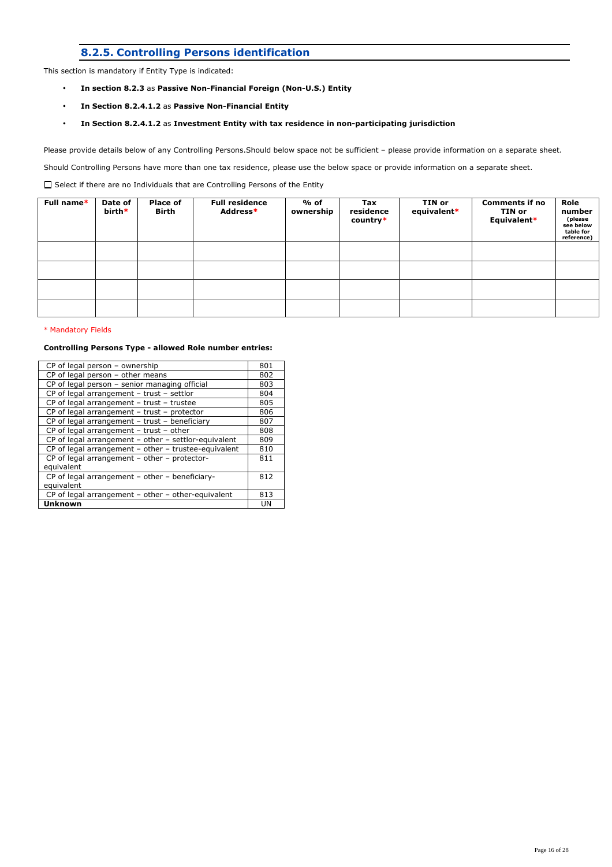### **8.2.5. Controlling Persons identification**

This section is mandatory if Entity Type is indicated:

- **In section 8.2.3** as **Passive Non-Financial Foreign (Non-U.S.) Entity**
- **In Section 8.2.4.1.2** as **Passive Non-Financial Entity**
- **In Section 8.2.4.1.2** as **Investment Entity with tax residence in non-participating jurisdiction**

Please provide details below of any Controlling Persons.Should below space not be sufficient – please provide information on a separate sheet.

Should Controlling Persons have more than one tax residence, please use the below space or provide information on a separate sheet.

 $\square$  Select if there are no Individuals that are Controlling Persons of the Entity

| Full name* | Date of<br>birth* | <b>Place of</b><br>Birth | <b>Full residence</b><br>Address* | % of<br>ownership | Tax<br>residence<br>$country*$ | TIN or<br>equivalent* | <b>Comments if no</b><br>TIN or<br>Equivalent* | Role<br>number<br>(please<br>see below<br>table for<br>reference) |
|------------|-------------------|--------------------------|-----------------------------------|-------------------|--------------------------------|-----------------------|------------------------------------------------|-------------------------------------------------------------------|
|            |                   |                          |                                   |                   |                                |                       |                                                |                                                                   |
|            |                   |                          |                                   |                   |                                |                       |                                                |                                                                   |
|            |                   |                          |                                   |                   |                                |                       |                                                |                                                                   |
|            |                   |                          |                                   |                   |                                |                       |                                                |                                                                   |

#### \* Mandatory Fields

#### **Controlling Persons Type - allowed Role number entries:**

| CP of legal person - ownership                         | 801 |
|--------------------------------------------------------|-----|
| $CP$ of legal person - other means                     | 802 |
| CP of legal person - senior managing official          | 803 |
| CP of legal arrangement - trust - settlor              | 804 |
| CP of legal arrangement - trust - trustee              | 805 |
| CP of legal arrangement - trust - protector            | 806 |
| CP of legal arrangement - trust - beneficiary          | 807 |
| CP of legal arrangement - trust - other                | 808 |
| $CP$ of legal arrangement - other - settlor-equivalent | 809 |
| CP of legal arrangement - other - trustee-equivalent   | 810 |
| CP of legal arrangement - other - protector-           | 811 |
| equivalent                                             |     |
| CP of legal arrangement - other - beneficiary-         | 812 |
| equivalent                                             |     |
| $CP$ of legal arrangement – other – other-equivalent   | 813 |
| <b>Unknown</b>                                         | UN  |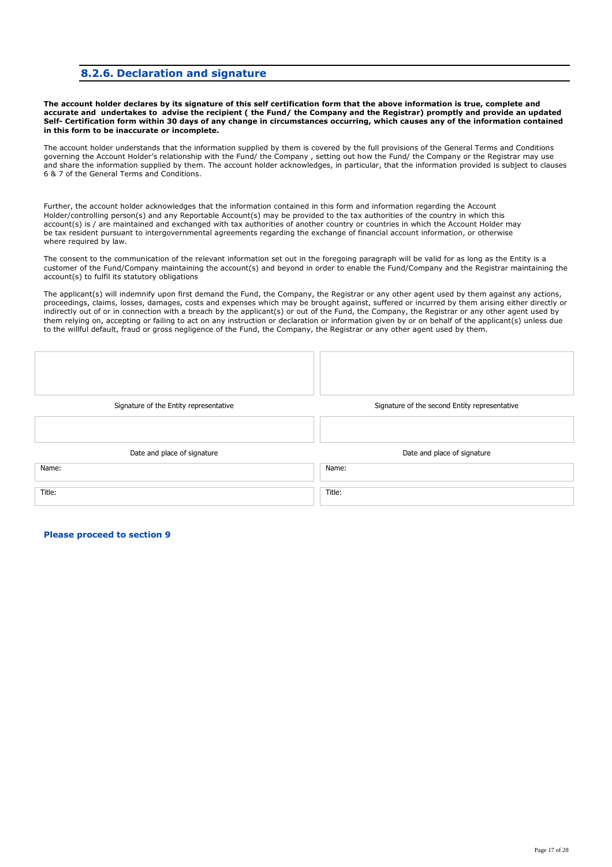#### **8.2.6. Declaration and signature**

**The account holder declares by its signature of this self certification form that the above information is true, complete and accurate and undertakes to advise the recipient ( the Fund/ the Company and the Registrar) promptly and provide an updated Self- Certification form within 30 days of any change in circumstances occurring, which causes any of the information contained in this form to be inaccurate or incomplete.** 

The account holder understands that the information supplied by them is covered by the full provisions of the General Terms and Conditions governing the Account Holder's relationship with the Fund/ the Company , setting out how the Fund/ the Company or the Registrar may use and share the information supplied by them. The account holder acknowledges, in particular, that the information provided is subject to clauses 6 & 7 of the General Terms and Conditions.

Further, the account holder acknowledges that the information contained in this form and information regarding the Account Holder/controlling person(s) and any Reportable Account(s) may be provided to the tax authorities of the country in which this account(s) is / are maintained and exchanged with tax authorities of another country or countries in which the Account Holder may be tax resident pursuant to intergovernmental agreements regarding the exchange of financial account information, or otherwise where required by law.

The consent to the communication of the relevant information set out in the foregoing paragraph will be valid for as long as the Entity is a customer of the Fund/Company maintaining the account(s) and beyond in order to enable the Fund/Company and the Registrar maintaining the account(s) to fulfil its statutory obligations

The applicant(s) will indemnify upon first demand the Fund, the Company, the Registrar or any other agent used by them against any actions, proceedings, claims, losses, damages, costs and expenses which may be brought against, suffered or incurred by them arising either directly or indirectly out of or in connection with a breach by the applicant(s) or out of the Fund, the Company, the Registrar or any other agent used by them relying on, accepting or failing to act on any instruction or declaration or information given by or on behalf of the applicant(s) unless due to the willful default, fraud or gross negligence of the Fund, the Company, the Registrar or any other agent used by them.

| Signature of the Entity representative | Signature of the second Entity representative |
|----------------------------------------|-----------------------------------------------|
|                                        |                                               |
| Date and place of signature            | Date and place of signature                   |
| Name:                                  | Name:                                         |
| Title:                                 | Title:                                        |

**Please proceed to section 9**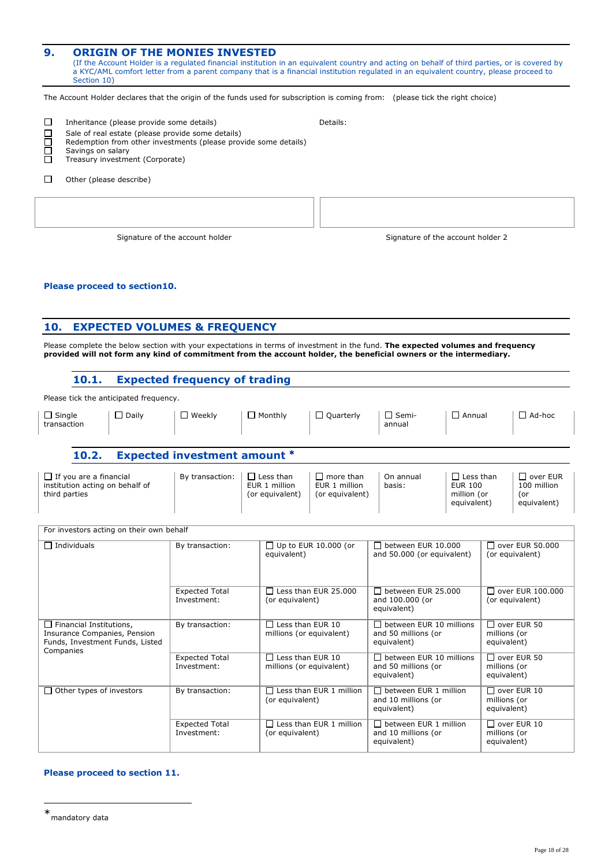| 9. | <b>ORIGIN OF THE MONIES INVESTED</b><br>Section 10) | (If the Account Holder is a regulated financial institution in an equivalent country and acting on behalf of third parties, or is covered by<br>a KYC/AML comfort letter from a parent company that is a financial institution regulated in an equivalent country, please proceed to |  |
|----|-----------------------------------------------------|--------------------------------------------------------------------------------------------------------------------------------------------------------------------------------------------------------------------------------------------------------------------------------------|--|
|    |                                                     | The Account Holder declares that the origin of the funds used for subscription is coming from: (please tick the right choice)                                                                                                                                                        |  |
|    | Inheritance (please provide some details)           | Details:                                                                                                                                                                                                                                                                             |  |

|  |  | Sale of real estate (please provide some details) |  |
|--|--|---------------------------------------------------|--|

- $\begin{tabular}{ll} \hline \textbf{S} & \textbf{Sale of real estate (please provide some} \\ \hline \textbf{Redemption from other investments (ple} \\ \hline \textbf{Savings on salary} \\ \hline \textbf{T} & \textbf{Treasury investment (Corporate)} \\ \hline \end{tabular}$  Redemption from other investments (please provide some details)
	- Savings on salary
	- Treasury investment (Corporate)
- $\Box$  Other (please describe)

Signature of the account holder  $\overline{\phantom{a}}$  Signature of the account holder 2

#### **Please proceed to section10.**

### **10. EXPECTED VOLUMES & FREQUENCY**

Please complete the below section with your expectations in terms of investment in the fund. **The expected volumes and frequency provided will not form any kind of commitment from the account holder, the beneficial owners or the intermediary.** 

| 10.1.                                                                                                          | <b>Expected frequency of trading</b> |                                                      |                                                      |                                                                      |                                                                      |                                                   |                                                   |  |
|----------------------------------------------------------------------------------------------------------------|--------------------------------------|------------------------------------------------------|------------------------------------------------------|----------------------------------------------------------------------|----------------------------------------------------------------------|---------------------------------------------------|---------------------------------------------------|--|
| Please tick the anticipated frequency.                                                                         |                                      |                                                      |                                                      |                                                                      |                                                                      |                                                   |                                                   |  |
| $\Box$ Single<br>$\Box$ Daily<br>transaction                                                                   | $\Box$ Weekly                        | $\Box$ Monthly                                       | $\Box$ Quarterly                                     | $\Box$ Semi-<br>annual                                               | $\Box$ Annual                                                        |                                                   | $\Box$ Ad-hoc                                     |  |
| 10.2.                                                                                                          | <b>Expected investment amount *</b>  |                                                      |                                                      |                                                                      |                                                                      |                                                   |                                                   |  |
| $\Box$ If you are a financial<br>institution acting on behalf of<br>third parties                              | By transaction:                      | $\Box$ Less than<br>EUR 1 million<br>(or equivalent) | $\Box$ more than<br>EUR 1 million<br>(or equivalent) | On annual<br>basis:                                                  | $\Box$ Less than<br><b>EUR 100</b><br>million (or<br>equivalent)     | (or                                               | $\Box$ over EUR<br>100 million<br>equivalent)     |  |
| For investors acting on their own behalf                                                                       |                                      |                                                      |                                                      |                                                                      |                                                                      |                                                   |                                                   |  |
| $\Box$ Individuals                                                                                             | By transaction:                      | equivalent)                                          | $\Box$ Up to EUR 10.000 (or                          |                                                                      | $\Box$ between EUR 10.000<br>and 50.000 (or equivalent)              |                                                   | $\Box$ over EUR 50.000<br>(or equivalent)         |  |
|                                                                                                                | <b>Expected Total</b><br>Investment: | (or equivalent)                                      | $\Box$ Less than EUR 25.000                          | $\Box$ between EUR 25.000<br>and 100.000 (or<br>equivalent)          |                                                                      | $\Box$ over EUR 100.000<br>(or equivalent)        |                                                   |  |
| $\Box$ Financial Institutions,<br>Insurance Companies, Pension<br>Funds, Investment Funds, Listed<br>Companies | By transaction:                      | $\Box$ Less than EUR 10<br>millions (or equivalent)  |                                                      | $\Box$ between EUR 10 millions<br>and 50 millions (or<br>equivalent) |                                                                      | $\Box$ over EUR 50<br>millions (or<br>equivalent) |                                                   |  |
|                                                                                                                | <b>Expected Total</b><br>Investment: |                                                      | $\Box$ Less than EUR 10<br>millions (or equivalent)  |                                                                      | $\Box$ between EUR 10 millions<br>and 50 millions (or<br>equivalent) |                                                   | $\Box$ over EUR 50<br>millions (or<br>equivalent) |  |
| $\Box$ Other types of investors                                                                                | By transaction:                      | (or equivalent)                                      | $\Box$ Less than EUR 1 million                       | $\Box$ between EUR 1 million<br>and 10 millions (or<br>equivalent)   |                                                                      | $\Box$ over EUR 10<br>millions (or<br>equivalent) |                                                   |  |
|                                                                                                                | <b>Expected Total</b><br>Investment: | (or equivalent)                                      | $\Box$ Less than EUR 1 million                       | $\Box$ between EUR 1 million<br>and 10 millions (or<br>equivalent)   |                                                                      | $\Box$ over EUR 10<br>millions (or<br>equivalent) |                                                   |  |

#### **Please proceed to section 11.**

-

<sup>∗</sup> mandatory data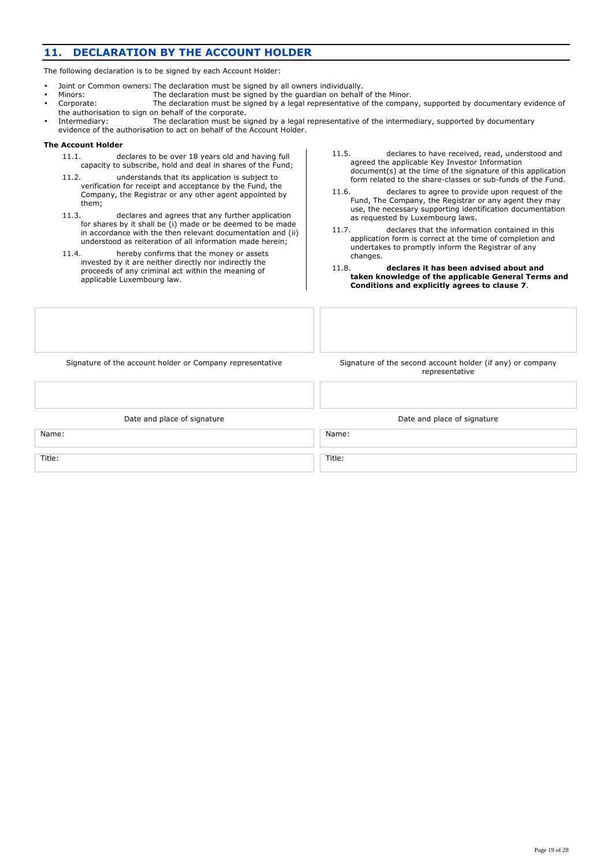### **11. DECLARATION BY THE ACCOUNT HOLDER**

The following declaration is to be signed by each Account Holder:

- Joint or Common owners: The declaration must be signed by all owners individually.<br>Minors: The declaration must be signed by the guardian on behalf
- The declaration must be signed by the guardian on behalf of the Minor.
- Corporate: The declaration must be signed by a legal representative of the company, supported by documentary evidence of the authorisation to sign on behalf of the corporate.
- Intermediary: The declaration must be signed by a legal representative of the intermediary, supported by documentary evidence of the authorisation to act on behalf of the Account Holder.

#### **The Account Holder**

- 11.1. declares to be over 18 years old and having full capacity to subscribe, hold and deal in shares of the Fund;
- 11.2. understands that its application is subject to verification for receipt and acceptance by the Fund, the Company, the Registrar or any other agent appointed by them;
- 11.3. declares and agrees that any further application for shares by it shall be (i) made or be deemed to be made in accordance with the then relevant documentation and (ii) understood as reiteration of all information made herein;
- 11.4. hereby confirms that the money or assets invested by it are neither directly nor indirectly the proceeds of any criminal act within the meaning of applicable Luxembourg law.
- 11.5. declares to have received, read, understood and agreed the applicable Key Investor Information document(s) at the time of the signature of this application form related to the share-classes or sub-funds of the Fund.
- 11.6. declares to agree to provide upon request of the Fund, The Company, the Registrar or any agent they may use, the necessary supporting identification documentation as requested by Luxembourg laws.
- 11.7. declares that the information contained in this application form is correct at the time of completion and undertakes to promptly inform the Registrar of any changes.
- 11.8. **declares it has been advised about and taken knowledge of the applicable General Terms and Conditions and explicitly agrees to clause 7**.

Signature of the account holder or Company representative Signature of the second account holder (if any) or company

representative

Title: Title:

Date and place of signature  $\Box$  Date and place of signature

Name: Name: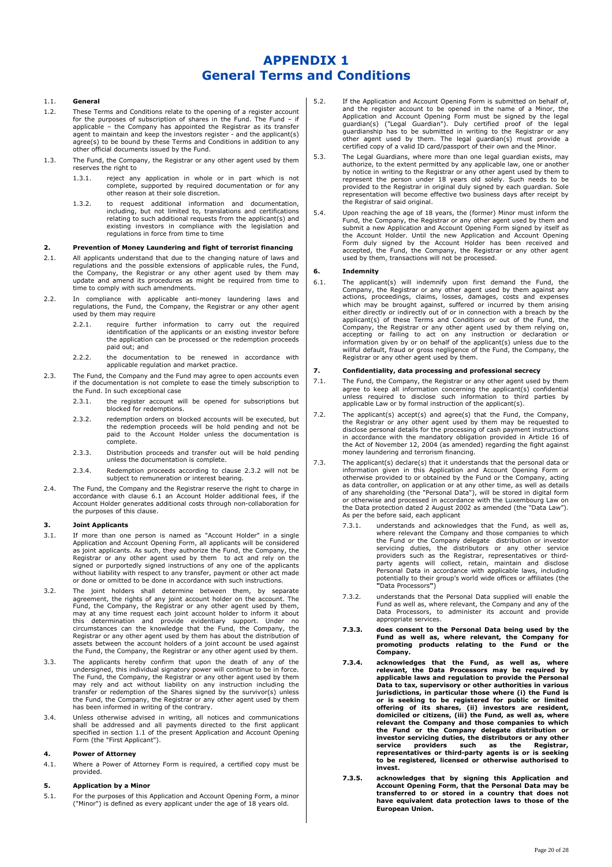### **APPENDIX 1 General Terms and Conditions**

#### 1.1. **General**

- 1.2. These Terms and Conditions relate to the opening of a register account for the purposes of subscription of shares in the Fund. The Fund – if applicable – the Company has appointed the Registrar as its transfer<br>agent to maintain and keep the investors register - and the applicant(s)<br>agree(s) to be bound by these Terms and Conditions in addition to any other official documents issued by the Fund.
- 1.3. The Fund, the Company, the Registrar or any other agent used by them reserves the right to
	- 1.3.1. reject any application in whole or in part which is not complete, supported by required documentation or for any other reason at their sole discretion.
	- 1.3.2. to request additional information and documentation, including, but not limited to, translations and certifications relating to such additional requests from the applicant(s) and existing investors in compliance with the legislation and regulations in force from time to time

#### **2. Prevention of Money Laundering and fight of terrorist financing**

- 2.1. All applicants understand that due to the changing nature of laws and regulations and the possible extensions of applicable rules, the Fund, the Company, the Registrar or any other agent used by them may update and amend its procedures as might be required from time to time to comply with such amendments.
- 2.2. In compliance with applicable anti-money laundering laws and regulations, the Fund, the Company, the Registrar or any other agent used by them may require
	- 2.2.1. require further information to carry out the required identification of the applicants or an existing investor before the application can be processed or the redemption proceeds paid out; and
	- 2.2.2. the documentation to be renewed in accordance with applicable regulation and market practice.
- 2.3. The Fund, the Company and the Fund may agree to open accounts even if the documentation is not complete to ease the timely subscription to the Fund. In such exceptional case
	- 2.3.1. the register account will be opened for subscriptions but blocked for redemptions.
	- 2.3.2. redemption orders on blocked accounts will be executed, but the redemption proceeds will be hold pending and not be paid to the Account Holder unless the documentation is complete.
	- 2.3.3. Distribution proceeds and transfer out will be hold pending unless the documentation is complete.
	- 2.3.4. Redemption proceeds according to clause 2.3.2 will not be subject to remuneration or interest bearing.
- 2.4. The Fund, the Company and the Registrar reserve the right to charge in accordance with clause 6.1 an Account Holder additional fees, if the Account Holder generates additional costs through non-collaboration for the purposes of this clause.

#### **3. Joint Applicants**

- 3.1. If more than one person is named as "Account Holder" in a single Application and Account Opening Form, all applicants will be considered as joint applicants. As such, they authorize the Fund, the Company, the Registrar or any other agent used by them to act and rely on the signed or purportedly signed instructions of any one of the applicants without liability with respect to any transfer, payment or other act made or done or omitted to be done in accordance with such instructions.
- 3.2. The joint holders shall determine between them, by separate agreement, the rights of any joint account holder on the account. The Fund, the Company, the Registrar or any other agent used by them,<br>may at any time request each joint account holder to inform it about<br>this determination and provide evidentiary support. Under no circumstances can the knowledge that the Fund, the Company, the Registrar or any other agent used by them has about the distribution of assets between the account holders of a joint account be used against the Fund, the Company, the Registrar or any other agent used by them.
- 3.3. The applicants hereby confirm that upon the death of any of the undersigned, this individual signatory power will continue to be in force. The Fund, the Company, the Registrar or any other agent used by them may rely and act without liability on any instruction including the transfer or redemption of the Shares signed by the survivor(s) unless the Fund, the Company, the Registrar or any other agent used by them has been informed in writing of the contrary.
- 3.4. Unless otherwise advised in writing, all notices and communications shall be addressed and all payments directed to the first applicant specified in section 1.1 of the present Application and Account Opening Form (the "First Applicant").

#### **4. Power of Attorney**

4.1. Where a Power of Attorney Form is required, a certified copy must be provided.

#### **5. Application by a Minor**

5.1. For the purposes of this Application and Account Opening Form, a minor ("Minor") is defined as every applicant under the age of 18 years old.

- 5.2. If the Application and Account Opening Form is submitted on behalf of, and the register account to be opened in the name of a Minor, the<br>Application and Account Opening Form must be signed by the legal<br>guardian(s) ("Legal Guardian"). Duly certified proof of the legal<br>guardianship has to be su other agent used by them. The legal guardian(s) must provide a certified copy of a valid ID card/passport of their own and the Minor.
- 5.3. The Legal Guardians, where more than one legal guardian exists, may authorize, to the extent permitted by any applicable law, one or another by notice in writing to the Registrar or any other agent used by them to<br>represent the person under 18 years old solely. Such needs to be<br>provided to the Registrar in original duly signed by each guardian. Sole<br>representat the Registrar of said original.
- 5.4. Upon reaching the age of 18 years, the (former) Minor must inform the Fund, the Company, the Registrar or any other agent used by them and submit a new Application and Account Opening Form signed by itself as the Account Holder. Until the new Application and Account Opening<br>Form duly signed by the Account Holder has been received and<br>accepted, the Fund, the Company, the Registrar or any other agent<br>used by them, transactions wi

#### **6. Indemnity**

6.1. The applicant(s) will indemnify upon first demand the Fund, the Company, the Registrar or any other agent used by them against any actions, proceedings, claims, losses, damages, costs and expenses which may be brought against, suffered or incurred by them arising either directly or indirectly out of or in connection with a breach by the applicant(s) of these Terms and Conditions or out of the Fund, the<br>Company, the Registrar or any other agent used by them relying on,<br>accepting or failing to act on any instruction or declaration or<br>information given by or willful default, fraud or gross negligence of the Fund, the Company, the Registrar or any other agent used by them.

#### **7. Confidentiality, data processing and professional secrecy**

- 7.1. The Fund, the Company, the Registrar or any other agent used by them agree to keep all information concerning the applicant(s) confidential unless required to disclose such information to third parties by applicable Law or by formal instruction of the applicant(s).
- 7.2. The applicant(s) accept(s) and agree(s) that the Fund, the Company, the Registrar or any other agent used by them may be requested to disclose personal details for the processing of cash payment instructions in accordance with the mandatory obligation provided in Article 16 of the Act of November 12, 2004 (as amended) regarding the fight against money laundering and terrorism financing.
- 7.3. The applicant(s) declare(s) that it understands that the personal data or information given in this Application and Account Opening Form or otherwise provided to or obtained by the Fund or the Company, acting as data controller, on application or at any other time, as well as details<br>of any shareholding (the "Personal Data"), will be stored in digital form<br>or otherwise and processed in accordance with the Luxembourg Law on the Data protection dated 2 August 2002 as amended (the "Data Law"). As per the before said, each applicant
	- 7.3.1. understands and acknowledges that the Fund, as well as, where relevant the Company and those companies to which<br>the Fund or the Company delegate distribution or investor<br>servicing duties, the distributors or any other service<br>providers such as the Registrar, representatives or party agents will collect, retain, maintain and disclose Personal Data in accordance with applicable laws, including potentially to their group's world wide offices or affiliates (the **"**Data Processors**"**)
	- 7.3.2. understands that the Personal Data supplied will enable the Fund as well as, where relevant, the Company and any of the Data Processors, to administer its account and provide appropriate services.
	- **7.3.3. does consent to the Personal Data being used by the Fund as well as, where relevant, the Company for promoting products relating to the Fund or the Company.**
	- **7.3.4. acknowledges that the Fund, as well as, where relevant, the Data Processors may be required by**  applicable laws and regulation to provide the Personal<br>Data to tax, supervisory or other authorities in various<br>jurisdictions, in particular those where (i) the Fund is<br>or is seeking to be registered for public or limited **offering of its shares, (ii) investors are resident, domiciled or citizens, (iii) the Fund, as well as, where relevant the Company and those companies to which**  the Fund or the Company delegate distribution or<br>investor servicing duties, the distributors or any other<br>service providers such as the Registrar,<br>representatives or third-party agents is or is seeking<br>to be registered, li **invest.**
	- **7.3.5. acknowledges that by signing this Application and Account Opening Form, that the Personal Data may be transferred to or stored in a country that does not have equivalent data protection laws to those of the European Union.**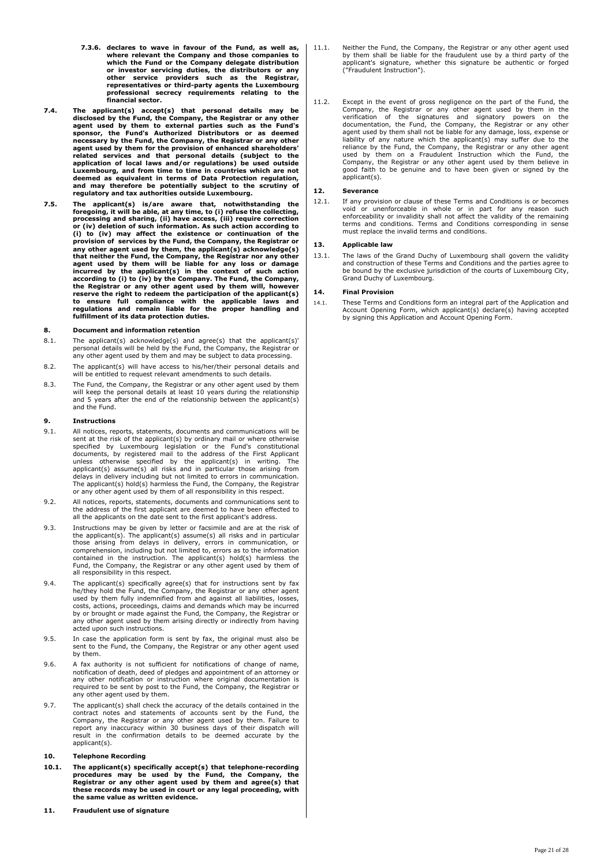- **7.3.6. declares to wave in favour of the Fund, as well as, where relevant the Company and those companies to which the Fund or the Company delegate distribution** or investor servicing duties, the distributors or any<br>other service providers such as the Registrar,<br>representatives or third-party agents the Luxembourg<br>professional secrecy requirements relating to the **financial sector.**
- **7.4. The applicant(s) accept(s) that personal details may be disclosed by the Fund, the Company, the Registrar or any other agent used by them to external parties such as the Fund's sponsor, the Fund's Authorized Distributors or as deemed necessary by the Fund, the Company, the Registrar or any other**  agent used by them for the provision of enhanced shareholders'<br>related services and that personal details (subject to the<br>application of local laws and/or regulations) be used outside<br>Luxembourg, and from time to time in c **deemed as equivalent in terms of Data Protection regulation, and may therefore be potentially subject to the scrutiny of regulatory and tax authorities outside Luxembourg.**
- **7.5. The applicant(s) is/are aware that, notwithstanding the foregoing, it will be able, at any time, to (i) refuse the collecting, processing and sharing, (ii) have access, (iii) require correction or (iv) deletion of such information. As such action according to (i) to (iv) may affect the existence or continuation of the provision of services by the Fund, the Company, the Registrar or any other agent used by them, the applicant(s) acknowledge(s) that neither the Fund, the Company, the Registrar nor any other agent used by them will be liable for any loss or damage incurred by the applicant(s) in the context of such action according to (i) to (iv) by the Company. The Fund, the Company, the Registrar or any other agent used by them will, however reserve the right to redeem the participation of the applicant(s) to ensure full compliance with the applicable laws and regulations and remain liable for the proper handling and fulfillment of its data protection duties.**

#### **8. Document and information retention**

- 8.1. The applicant(s) acknowledge(s) and agree(s) that the applicant(s)' personal details will be held by the Fund, the Company, the Registrar or any other agent used by them and may be subject to data processing.
- 8.2. The applicant(s) will have access to his/her/their personal details and will be entitled to request relevant amendments to such details.
- 8.3. The Fund, the Company, the Registrar or any other agent used by them will keep the personal details at least 10 years during the relationship and 5 years after the end of the relationship between the applicant(s) and the Fund.

#### **9. Instructions**

- 9.1. All notices, reports, statements, documents and communications will be sent at the risk of the applicant(s) by ordinary mail or where otherwise<br>specified by Luxembourg legislation or the Fund's constitutional<br>documents, by registered mail to the address of the First Applicant<br>unless otherwise delays in delivery including but not limited to errors in communication. The applicant(s) hold(s) harmless the Fund, the Company, the Registrar or any other agent used by them of all responsibility in this respect.
- 9.2. All notices, reports, statements, documents and communications sent to the address of the first applicant are deemed to have been effected to all the applicants on the date sent to the first applicant's address.
- 9.3. Instructions may be given by letter or facsimile and are at the risk of the applicant(s). The applicant(s) assume(s) all risks and in particular those arising from delays in delivery, errors in communication, or comp Fund, the Company, the Registrar or any other agent used by them of all responsibility in this respect.
- 9.4. The applicant(s) specifically agree(s) that for instructions sent by fax<br>he/they hold the Fund, the Company, the Registrar or any other agent<br>used by them fully indemnified from and against all liabilities, losses, costs, actions, proceedings, claims and demands which may be incurred by or brought or made against the Fund, the Company, the Registrar or any other agent used by them arising directly or indirectly from having acted upon such instructions.
- 9.5. In case the application form is sent by fax, the original must also be sent to the Fund, the Company, the Registrar or any other agent used by them.
- 9.6. A fax authority is not sufficient for notifications of change of name, notification of death, deed of pledges and appointment of an attorney or any other notification or instruction where original documentation is required to be sent by post to the Fund, the Company, the Registrar or any other agent used by them.
- 9.7. The applicant(s) shall check the accuracy of the details contained in the contract notes and statements of accounts sent by the Fund, the<br>Company, the Registrar or any other agent used by them. Failure to<br>report any inaccuracy within 30 business days of their dispatch will<br>result in the confirma applicant(s).

#### **10. Telephone Recording**

- 10.1. The applicant(s) specifically accept(s) that telephone-recording<br>procedures may be used by the Fund, the Company, the<br>Registrar or any other agent used by them and agree(s) that<br>these records may be used in court or **the same value as written evidence.**
- **11. Fraudulent use of signature**

11.1. Neither the Fund, the Company, the Registrar or any other agent used by them shall be liable for the fraudulent use by a third party of the applicant's signature, whether this signature be authentic or forged ("Fraudulent Instruction").

11.2. Except in the event of gross negligence on the part of the Fund, the Company, the Registrar or any other agent used by them in the verification of the signatures and signatory powers on the documentation, the Fund, t agent used by them shall not be liable for any damage, loss, expense or<br>liability of any nature which the applicant(s) may suffer due to the<br>reliance by the Fund, the Company, the Registrar or any other agent<br>used by them Company, the Registrar or any other agent used by them believe in good faith to be genuine and to have been given or signed by the applicant(s).

#### **12. Severance**

12.1. If any provision or clause of these Terms and Conditions is or becomes void or unenforceable in whole or in part for any reason such enforceability or invalidity shall not affect the validity of the remaining terms and conditions. Terms and Conditions corresponding in sense must replace the invalid terms and conditions.

#### **13. Applicable law**

13.1. The laws of the Grand Duchy of Luxembourg shall govern the validity and construction of these Terms and Conditions and the parties agree to be bound by the exclusive jurisdiction of the courts of Luxembourg City, Grand Duchy of Luxembourg.

#### **14. Final Provision**

14.1. These Terms and Conditions form an integral part of the Application and Account Opening Form, which applicant(s) declare(s) having accepted by signing this Application and Account Opening Form.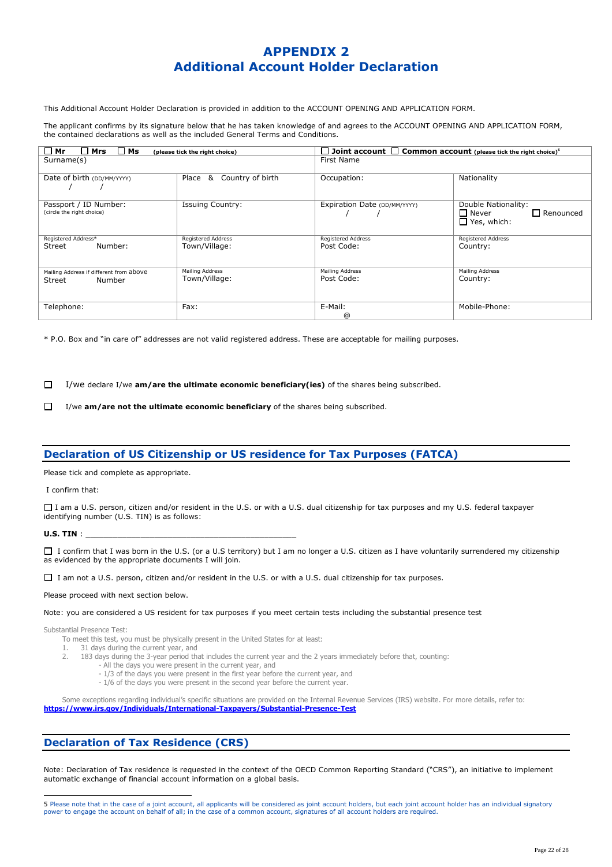### **APPENDIX 2 Additional Account Holder Declaration**

This Additional Account Holder Declaration is provided in addition to the ACCOUNT OPENING AND APPLICATION FORM.

The applicant confirms by its signature below that he has taken knowledge of and agrees to the ACCOUNT OPENING AND APPLICATION FORM, the contained declarations as well as the included General Terms and Conditions.

| $\Box$ Mrs<br>$\Box$ Mr<br>$\Box$ Ms                        | (please tick the right choice)             | $\Box$ Joint account $\Box$ Common account (please tick the right choice) <sup>5</sup> |                                                                                  |  |  |
|-------------------------------------------------------------|--------------------------------------------|----------------------------------------------------------------------------------------|----------------------------------------------------------------------------------|--|--|
| Surname(s)                                                  |                                            | First Name                                                                             |                                                                                  |  |  |
| Date of birth (DD/MM/YYYY)                                  | Country of birth<br>Place<br>&             | Occupation:                                                                            | Nationality                                                                      |  |  |
| Passport / ID Number:<br>(circle the right choice)          | <b>Issuing Country:</b>                    | Expiration Date (DD/MM/YYYY)                                                           | Double Nationality:<br>$\square$ Never<br>$\Box$ Renounced<br>$\Box$ Yes, which: |  |  |
| Registered Address*<br>Number:<br>Street                    | <b>Registered Address</b><br>Town/Village: | <b>Registered Address</b><br>Post Code:                                                | <b>Registered Address</b><br>Country:                                            |  |  |
| Mailing Address if different from above<br>Number<br>Street | Mailing Address<br>Town/Village:           | <b>Mailing Address</b><br>Post Code:                                                   | Mailing Address<br>Country:                                                      |  |  |
| Telephone:                                                  | Fax:                                       | E-Mail:<br>@                                                                           | Mobile-Phone:                                                                    |  |  |

\* P.O. Box and "in care of" addresses are not valid registered address. These are acceptable for mailing purposes.

 $\Box$ I/we declare I/we **am/are the ultimate economic beneficiary(ies)** of the shares being subscribed.

 $\Box$ I/we **am/are not the ultimate economic beneficiary** of the shares being subscribed.

### **Declaration of US Citizenship or US residence for Tax Purposes (FATCA)**

Please tick and complete as appropriate.

I confirm that:

I am a U.S. person, citizen and/or resident in the U.S. or with a U.S. dual citizenship for tax purposes and my U.S. federal taxpayer identifying number (U.S. TIN) is as follows:

**U.S. TIN** :

□ I confirm that I was born in the U.S. (or a U.S territory) but I am no longer a U.S. citizen as I have voluntarily surrendered my citizenship as evidenced by the appropriate documents I will join.

I am not a U.S. person, citizen and/or resident in the U.S. or with a U.S. dual citizenship for tax purposes.

Please proceed with next section below.

Note: you are considered a US resident for tax purposes if you meet certain tests including the substantial presence test

Substantial Presence Test:

To meet this test, you must be physically present in the United States for at least:<br>1. 31 days during the current year, and

- 31 days during the current year, and
- 2. 183 days during the 3-year period that includes the current year and the 2 years immediately before that, counting:
	- All the days you were present in the current year, and
		- 1/3 of the days you were present in the first year before the current year, and
		- 1/6 of the days you were present in the second year before the current year.

Some exceptions regarding individual's specific situations are provided on the Internal Revenue Services (IRS) website. For more details, refer to: **https://www.irs.gov/Individuals/International-Taxpayers/Substantial-Presence-Test**

#### **Declaration of Tax Residence (CRS)**

Note: Declaration of Tax residence is requested in the context of the OECD Common Reporting Standard ("CRS"), an initiative to implement automatic exchange of financial account information on a global basis.

 5 Please note that in the case of a joint account, all applicants will be considered as joint account holders, but each joint account holder has an individual signatory power to engage the account on behalf of all; in the case of a common account, signatures of all account holders are required.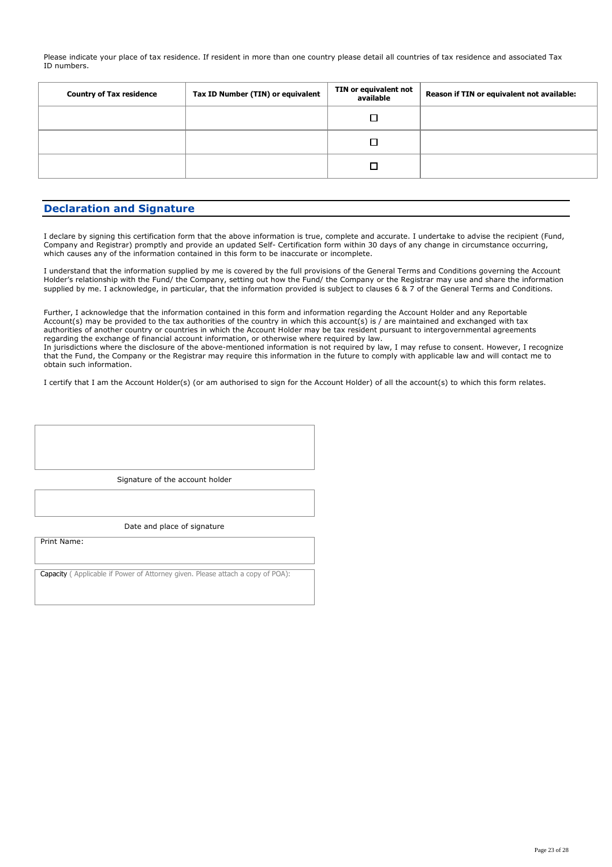Please indicate your place of tax residence. If resident in more than one country please detail all countries of tax residence and associated Tax ID numbers.

| <b>Country of Tax residence</b> | Tax ID Number (TIN) or equivalent | TIN or equivalent not<br>available | Reason if TIN or equivalent not available: |
|---------------------------------|-----------------------------------|------------------------------------|--------------------------------------------|
|                                 |                                   |                                    |                                            |
|                                 |                                   |                                    |                                            |
|                                 |                                   |                                    |                                            |

### **Declaration and Signature**

I declare by signing this certification form that the above information is true, complete and accurate. I undertake to advise the recipient (Fund, Company and Registrar) promptly and provide an updated Self- Certification form within 30 days of any change in circumstance occurring, which causes any of the information contained in this form to be inaccurate or incomplete.

I understand that the information supplied by me is covered by the full provisions of the General Terms and Conditions governing the Account Holder's relationship with the Fund/ the Company, setting out how the Fund/ the Company or the Registrar may use and share the information supplied by me. I acknowledge, in particular, that the information provided is subject to clauses 6 & 7 of the General Terms and Conditions.

Further, I acknowledge that the information contained in this form and information regarding the Account Holder and any Reportable Account(s) may be provided to the tax authorities of the country in which this account(s) is / are maintained and exchanged with tax authorities of another country or countries in which the Account Holder may be tax resident pursuant to intergovernmental agreements regarding the exchange of financial account information, or otherwise where required by law.

In jurisdictions where the disclosure of the above-mentioned information is not required by law, I may refuse to consent. However, I recognize that the Fund, the Company or the Registrar may require this information in the future to comply with applicable law and will contact me to obtain such information.

I certify that I am the Account Holder(s) (or am authorised to sign for the Account Holder) of all the account(s) to which this form relates.

Signature of the account holder

Date and place of signature

Print Name:

Capacity ( Applicable if Power of Attorney given. Please attach a copy of POA):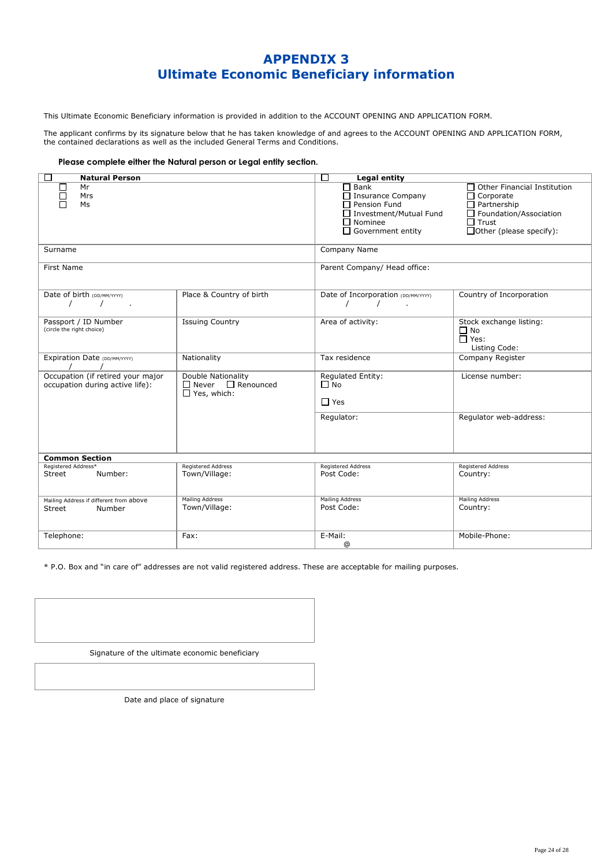### **APPENDIX 3 Ultimate Economic Beneficiary information**

This Ultimate Economic Beneficiary information is provided in addition to the ACCOUNT OPENING AND APPLICATION FORM.

The applicant confirms by its signature below that he has taken knowledge of and agrees to the ACCOUNT OPENING AND APPLICATION FORM, the contained declarations as well as the included General Terms and Conditions.

#### **Please complete either the Natural person or Legal entity section.**

| □<br><b>Natural Person</b>                                           |                                                                           | П<br><b>Legal entity</b>                                                                                                                    |                                                                                                                                     |  |  |
|----------------------------------------------------------------------|---------------------------------------------------------------------------|---------------------------------------------------------------------------------------------------------------------------------------------|-------------------------------------------------------------------------------------------------------------------------------------|--|--|
| Mr<br>Mrs<br>Ms                                                      |                                                                           | $\square$ Bank<br>$\Box$ Insurance Company<br>$\Box$ Pension Fund<br>□ Investment/Mutual Fund<br>$\Box$ Nominee<br>$\Box$ Government entity | Other Financial Institution<br>Corporate<br>Partnership<br>Foundation/Association<br>$\Box$ Trust<br>$\Box$ Other (please specify): |  |  |
| Surname                                                              |                                                                           | Company Name                                                                                                                                |                                                                                                                                     |  |  |
| <b>First Name</b>                                                    |                                                                           | Parent Company/ Head office:                                                                                                                |                                                                                                                                     |  |  |
| Date of birth (DD/MM/YYYY)                                           | Place & Country of birth                                                  | Date of Incorporation (DD/MM/YYYY)<br>$\prime$                                                                                              | Country of Incorporation                                                                                                            |  |  |
| Passport / ID Number<br>(circle the right choice)                    | <b>Issuing Country</b>                                                    | Area of activity:                                                                                                                           | Stock exchange listing:<br>$\Box$ No<br>$\Box$ Yes:<br>Listing Code:                                                                |  |  |
| Expiration Date (DD/MM/YYYY)                                         | Nationality                                                               | Tax residence                                                                                                                               | Company Register                                                                                                                    |  |  |
| Occupation (if retired your major<br>occupation during active life): | Double Nationality<br>$\Box$ Never $\Box$ Renounced<br>$\Box$ Yes, which: | Regulated Entity:<br>$\Box$ No<br>$\Box$ Yes                                                                                                | License number:                                                                                                                     |  |  |
|                                                                      |                                                                           | Regulator:                                                                                                                                  | Requlator web-address:                                                                                                              |  |  |
| <b>Common Section</b>                                                |                                                                           |                                                                                                                                             |                                                                                                                                     |  |  |
| Registered Address*<br>Street<br>Number:                             | <b>Registered Address</b><br>Town/Village:                                | <b>Registered Address</b><br>Post Code:                                                                                                     | <b>Registered Address</b><br>Country:                                                                                               |  |  |
| Mailing Address if different from above<br>Street<br>Number          | Mailing Address<br>Town/Village:                                          | <b>Mailing Address</b><br>Post Code:                                                                                                        | <b>Mailing Address</b><br>Country:                                                                                                  |  |  |
| Telephone:                                                           | Fax:                                                                      | E-Mail:<br>$^{\circ}$                                                                                                                       | Mobile-Phone:                                                                                                                       |  |  |

\* P.O. Box and "in care of" addresses are not valid registered address. These are acceptable for mailing purposes.

Signature of the ultimate economic beneficiary

Date and place of signature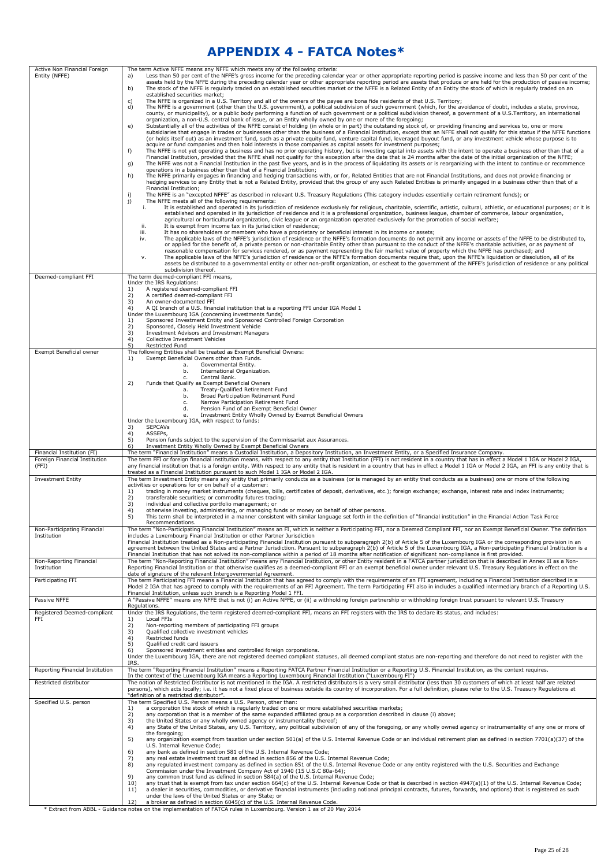### **APPENDIX 4 - FATCA Notes\***

| Active Non Financial Foreign                | The term Active NFFE means any NFFE which meets any of the following criteria:                                                                                                                                                                                                                                                                                                                                                                                                                                                                                                                                                                                                                                            |
|---------------------------------------------|---------------------------------------------------------------------------------------------------------------------------------------------------------------------------------------------------------------------------------------------------------------------------------------------------------------------------------------------------------------------------------------------------------------------------------------------------------------------------------------------------------------------------------------------------------------------------------------------------------------------------------------------------------------------------------------------------------------------------|
| Entity (NFFE)                               | Less than 50 per cent of the NFFE's gross income for the preceding calendar year or other appropriate reporting period is passive income and less than 50 per cent of the<br>a)<br>assets held by the NFFE during the preceding calendar year or other appropriate reporting period are assets that produce or are held for the production of passive income;<br>b)<br>The stock of the NFFE is regularly traded on an established securities market or the NFFE is a Related Entity of an Entity the stock of which is regularly traded on an                                                                                                                                                                            |
|                                             | established securities market;<br>The NFFE is organized in a U.S. Territory and all of the owners of the payee are bona fide residents of that U.S. Territory;<br>c)<br>The NFFE is a government (other than the U.S. government), a political subdivision of such government (which, for the avoidance of doubt, includes a state, province,<br>d)                                                                                                                                                                                                                                                                                                                                                                       |
|                                             | county, or municipality), or a public body performing a function of such government or a political subdivision thereof, a government of a U.S.Territory, an international<br>organization, a non-U.S. central bank of issue, or an Entity wholly owned by one or more of the foregoing;<br>Substantially all of the activities of the NFFE consist of holding (in whole or in part) the outstanding stock of, or providing financing and services to, one or more<br>e)                                                                                                                                                                                                                                                   |
|                                             | subsidiaries that engage in trades or businesses other than the business of a Financial Institution, except that an NFFE shall not qualify for this status if the NFFE functions<br>(or holds itself out) as an investment fund, such as a private equity fund, venture capital fund, leveraged buyout fund, or any investment vehicle whose purpose is to<br>acquire or fund companies and then hold interests in those companies as capital assets for investment purposes;                                                                                                                                                                                                                                             |
|                                             | f)<br>The NFFE is not yet operating a business and has no prior operating history, but is investing capital into assets with the intent to operate a business other than that of a<br>Financial Institution, provided that the NFFE shall not qualify for this exception after the date that is 24 months after the date of the initial organization of the NFFE;                                                                                                                                                                                                                                                                                                                                                         |
|                                             | The NFFE was not a Financial Institution in the past five years, and is in the process of liquidating its assets or is reorganizing with the intent to continue or recommence<br>g)<br>operations in a business other than that of a Financial Institution;<br>The NFFE primarily engages in financing and hedging transactions with, or for, Related Entities that are not Financial Institutions, and does not provide financing or<br>h)                                                                                                                                                                                                                                                                               |
|                                             | hedging services to any Entity that is not a Related Entity, provided that the group of any such Related Entities is primarily engaged in a business other than that of a<br>Financial Institution:                                                                                                                                                                                                                                                                                                                                                                                                                                                                                                                       |
|                                             | i)<br>The NFFE is an "excepted NFFE" as described in relevant U.S. Treasury Regulations (This category includes essentially certain retirement funds); or<br>j)<br>The NFFE meets all of the following requirements:                                                                                                                                                                                                                                                                                                                                                                                                                                                                                                      |
|                                             | It is established and operated in its jurisdiction of residence exclusively for religious, charitable, scientific, artistic, cultural, athletic, or educational purposes; or it is<br>i.<br>established and operated in its jurisdiction of residence and it is a professional organization, business league, chamber of commerce, labour organization,<br>agricultural or horticultural organization, civic league or an organization operated exclusively for the promotion of social welfare;<br>ii.<br>It is exempt from income tax in its jurisdiction of residence;                                                                                                                                                 |
|                                             | It has no shareholders or members who have a proprietary or beneficial interest in its income or assets;<br>iii.<br>The applicable laws of the NFFE's jurisdiction of residence or the NFFE's formation documents do not permit any income or assets of the NFFE to be distributed to,<br>iv.                                                                                                                                                                                                                                                                                                                                                                                                                             |
|                                             | or applied for the benefit of, a private person or non-charitable Entity other than pursuant to the conduct of the NFFE's charitable activities, or as payment of<br>reasonable compensation for services rendered, or as payment representing the fair market value of property which the NFFE has purchased; and<br>The applicable laws of the NFFE's jurisdiction of residence or the NFFE's formation documents require that, upon the NFFE's liquidation or dissolution, all of its<br>ν.                                                                                                                                                                                                                            |
|                                             | assets be distributed to a governmental entity or other non-profit organization, or escheat to the government of the NFFE's jurisdiction of residence or any political<br>subdivision thereof.                                                                                                                                                                                                                                                                                                                                                                                                                                                                                                                            |
| Deemed-compliant FFI                        | The term deemed-compliant FFI means,<br>Under the IRS Regulations:<br>A registered deemed-compliant FFI<br>1)                                                                                                                                                                                                                                                                                                                                                                                                                                                                                                                                                                                                             |
|                                             | A certified deemed-compliant FFI<br>2)<br>An owner-documented FFI<br>3)                                                                                                                                                                                                                                                                                                                                                                                                                                                                                                                                                                                                                                                   |
|                                             | A QI branch of a U.S. financial institution that is a reporting FFI under IGA Model 1<br>4)<br>Under the Luxembourg IGA (concerning investments funds)                                                                                                                                                                                                                                                                                                                                                                                                                                                                                                                                                                    |
|                                             | Sponsored Investment Entity and Sponsored Controlled Foreign Corporation<br>1)<br>2)<br>Sponsored, Closely Held Investment Vehicle<br>3)<br>Investment Advisors and Investment Managers                                                                                                                                                                                                                                                                                                                                                                                                                                                                                                                                   |
|                                             | 4)<br>Collective Investment Vehicles<br>5)<br>Restricted Fund                                                                                                                                                                                                                                                                                                                                                                                                                                                                                                                                                                                                                                                             |
| Exempt Beneficial owner                     | The following Entities shall be treated as Exempt Beneficial Owners:<br>Exempt Beneficial Owners other than Funds.<br>1)<br>Governmental Entity.<br>а.                                                                                                                                                                                                                                                                                                                                                                                                                                                                                                                                                                    |
|                                             | International Organization.<br>b.<br>Central Bank.<br>c.                                                                                                                                                                                                                                                                                                                                                                                                                                                                                                                                                                                                                                                                  |
|                                             | Funds that Qualify as Exempt Beneficial Owners<br>2)<br>Treaty-Qualified Retirement Fund<br>a.                                                                                                                                                                                                                                                                                                                                                                                                                                                                                                                                                                                                                            |
|                                             | Broad Participation Retirement Fund<br>b.<br>Narrow Participation Retirement Fund<br>c.<br>Pension Fund of an Exempt Beneficial Owner<br>d.                                                                                                                                                                                                                                                                                                                                                                                                                                                                                                                                                                               |
|                                             | Investment Entity Wholly Owned by Exempt Beneficial Owners<br>е.<br>Under the Luxembourg IGA, with respect to funds:                                                                                                                                                                                                                                                                                                                                                                                                                                                                                                                                                                                                      |
|                                             | <b>SEPCAVs</b><br>3)<br>4)<br>ASSEPs,<br>5)<br>Pension funds subject to the supervision of the Commissariat aux Assurances.                                                                                                                                                                                                                                                                                                                                                                                                                                                                                                                                                                                               |
| Financial Institution (FI)                  | Investment Entity Wholly Owned by Exempt Beneficial Owners<br>6)<br>The term "Financial Institution" means a Custodial Institution, a Depository Institution, an Investment Entity, or a Specified Insurance Company.                                                                                                                                                                                                                                                                                                                                                                                                                                                                                                     |
| Foreign Financial Institution<br>(FFI)      | The term FFI or foreign financial institution means, with respect to any entity that Institution (FFI) is not resident in a country that has in effect a Model 1 IGA or Model 2 IGA,<br>any financial institution that is a foreign entity. With respect to any entity that is resident in a country that has in effect a Model 1 IGA or Model 2 IGA, an FFI is any entity that is<br>treated as a Financial Institution pursuant to such Model 1 IGA or Model 2 IGA.                                                                                                                                                                                                                                                     |
| <b>Investment Entity</b>                    | The term Investment Entity means any entity that primarily conducts as a business (or is managed by an entity that conducts as a business) one or more of the following<br>activities or operations for or on behalf of a customer:<br>trading in money market instruments (cheques, bills, certificates of deposit, derivatives, etc.); foreign exchange; exchange, interest rate and index instruments;<br>1)                                                                                                                                                                                                                                                                                                           |
|                                             | 2)<br>transferable securities; or commodity futures trading;<br>individual and collective portfolio management; or<br>3)                                                                                                                                                                                                                                                                                                                                                                                                                                                                                                                                                                                                  |
|                                             | otherwise investing, administering, or managing funds or money on behalf of other persons.<br>4)<br>5)<br>This term shall be interpreted in a manner consistent with similar language set forth in the definition of "financial institution" in the Financial Action Task Force<br>Recommendations.                                                                                                                                                                                                                                                                                                                                                                                                                       |
| Non-Participating Financial<br>Institution  | The term "Non-Participating Financial Institution" means an FI, which is neither a Participating FFI, nor a Deemed Compliant FFI, nor an Exempt Beneficial Owner. The definition<br>includes a Luxembourg Financial Institution or other Partner Jurisdiction                                                                                                                                                                                                                                                                                                                                                                                                                                                             |
| Non-Reporting Financial                     | Financial Institution treated as a Non-participating Financial Institution pursuant to subparagraph 2(b) of Article 5 of the Luxembourg IGA or the corresponding provision in an<br>agreement between the United States and a Partner Jurisdiction. Pursuant to subparagraph 2(b) of Article 5 of the Luxembourg IGA, a Non-participating Financial Institution is a<br>Financial Institution that has not solved its non-compliance within a period of 18 months after notification of significant non-compliance is first provided.<br>The term "Non-Reporting Financial Institution" means any Financial Institution, or other Entity resident in a FATCA partner jurisdiction that is described in Annex II as a Non- |
| Institution                                 | Reporting Financial Institution or that otherwise qualifies as a deemed-compliant FFI or an exempt beneficial owner under relevant U.S. Treasury Requlations in effect on the<br>date of signature of the relevant Intergovernmental Agreement.                                                                                                                                                                                                                                                                                                                                                                                                                                                                           |
| Participating FFI                           | The term Participating FFI means a Financial Institution that has agreed to comply with the requirements of an FFI agreement, including a Financial Institution described in a<br>Model 2 IGA that has agreed to comply with the requirements of an FFI Agreement. The term Participating FFI also in includes a qualified intermediary branch of a Reporting U.S.<br>Financial Institution, unless such branch is a Reporting Model 1 FFI.                                                                                                                                                                                                                                                                               |
| Passive NFFE<br>Registered Deemed-compliant | A "Passive NFFE" means any NFFE that is not (i) an Active NFFE, or (ii) a withholding foreign partnership or withholding foreign trust pursuant to relevant U.S. Treasury<br>Regulations.<br>Under the IRS Regulations, the term registered deemed-compliant FFI, means an FFI registers with the IRS to declare its status, and includes:                                                                                                                                                                                                                                                                                                                                                                                |
| FFI                                         | Local FFIs<br>1)<br>2)<br>Non-reporting members of participating FFI groups                                                                                                                                                                                                                                                                                                                                                                                                                                                                                                                                                                                                                                               |
|                                             | 3)<br>Qualified collective investment vehicles<br>4)<br>Restricted funds<br>5)<br>Qualified credit card issuers                                                                                                                                                                                                                                                                                                                                                                                                                                                                                                                                                                                                           |
|                                             | Sponsored investment entities and controlled foreign corporations.<br>6)<br>Under the Luxembourg IGA, there are not registered deemed compliant statuses, all deemed compliant status are non-reporting and therefore do not need to register with the                                                                                                                                                                                                                                                                                                                                                                                                                                                                    |
| Reporting Financial Institution             | IRS.<br>The term "Reporting Financial Institution" means a Reporting FATCA Partner Financial Institution or a Reporting U.S. Financial Institution, as the context requires.<br>In the context of the Luxembourg IGA means a Reporting Luxembourg Financial Institution ("Luxembourg FI")                                                                                                                                                                                                                                                                                                                                                                                                                                 |
| Restricted distributor                      | The notion of Restricted Distributor is not mentioned in the IGA. A restricted distributors is a very small distributor (less than 30 customers of which at least half are related<br>persons), which acts locally; i.e. it has not a fixed place of business outside its country of incorporation. For a full definition, please refer to the U.S. Treasury Regulations at<br>"definition of a restricted distributor".                                                                                                                                                                                                                                                                                                  |
| Specified U.S. person                       | The term Specified U.S. Person means a U.S. Person, other than:<br>a corporation the stock of which is regularly traded on one or more established securities markets;<br>1)                                                                                                                                                                                                                                                                                                                                                                                                                                                                                                                                              |
|                                             | 2)<br>any corporation that is a member of the same expanded affiliated group as a corporation described in clause (i) above;<br>the United States or any wholly owned agency or instrumentality thereof;<br>3)<br>any State of the United States, any U.S. Territory, any political subdivision of any of the foregoing, or any wholly owned agency or instrumentality of any one or more of<br>4)                                                                                                                                                                                                                                                                                                                        |
|                                             | the foregoing;<br>5)<br>any organization exempt from taxation under section 501(a) of the U.S. Internal Revenue Code or an individual retirement plan as defined in section 7701(a)(37) of the                                                                                                                                                                                                                                                                                                                                                                                                                                                                                                                            |
|                                             | U.S. Internal Revenue Code;<br>6)<br>any bank as defined in section 581 of the U.S. Internal Revenue Code;                                                                                                                                                                                                                                                                                                                                                                                                                                                                                                                                                                                                                |
|                                             | any real estate investment trust as defined in section 856 of the U.S. Internal Revenue Code;<br>7)<br>any regulated investment company as defined in section 851 of the U.S. Internal Revenue Code or any entity registered with the U.S. Securities and Exchange<br>8)<br>Commission under the Investment Company Act of 1940 (15 U.S.C 80a-64);                                                                                                                                                                                                                                                                                                                                                                        |
|                                             | 9)<br>any common trust fund as defined in section 584(a) of the U.S. Internal Revenue Code;<br>any trust that is exempt from tax under section 664(c) of the U.S. Internal Revenue Code or that is described in section 4947(a)(1) of the U.S. Internal Revenue Code;<br>10)                                                                                                                                                                                                                                                                                                                                                                                                                                              |
|                                             |                                                                                                                                                                                                                                                                                                                                                                                                                                                                                                                                                                                                                                                                                                                           |
|                                             | a dealer in securities, commodities, or derivative financial instruments (including notional principal contracts, futures, forwards, and options) that is registered as such<br>11)<br>under the laws of the United States or any State; or<br>a broker as defined in section 6045(c) of the U.S. Internal Revenue Code.<br>12)                                                                                                                                                                                                                                                                                                                                                                                           |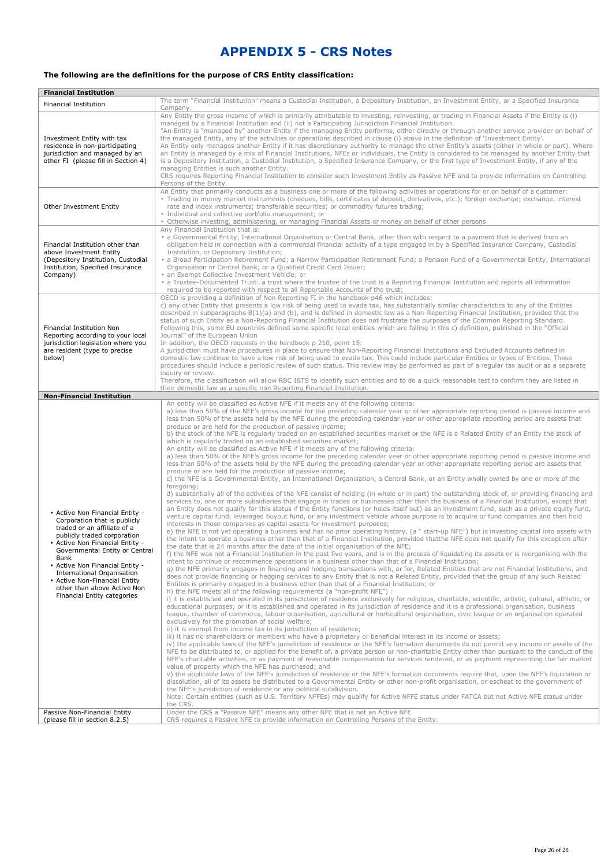## **APPENDIX 5 - CRS Notes**

#### **The following are the definitions for the purpose of CRS Entity classification:**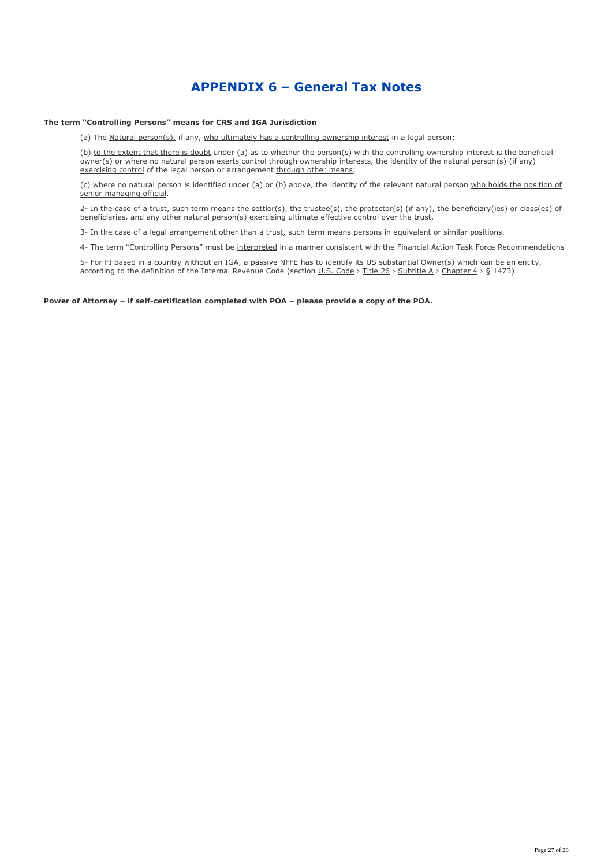### **APPENDIX 6 – General Tax Notes**

#### **The term "Controlling Persons" means for CRS and IGA Jurisdiction**

(a) The Natural  $person(s)$ , if any, who ultimately has a controlling ownership interest in a legal person;

(b) to the extent that there is doubt under (a) as to whether the person(s) with the controlling ownership interest is the beneficial owner(s) or where no natural person exerts control through ownership interests, the identity of the natural person(s) (if any) exercising control of the legal person or arrangement through other means;

(c) where no natural person is identified under (a) or (b) above, the identity of the relevant natural person who holds the position of senior managing official.

2- In the case of a trust, such term means the settlor(s), the trustee(s), the protector(s) (if any), the beneficiary(ies) or class(es) of beneficiaries, and any other natural person(s) exercising ultimate effective control over the trust,

3- In the case of a legal arrangement other than a trust, such term means persons in equivalent or similar positions.

4- The term "Controlling Persons" must be interpreted in a manner consistent with the Financial Action Task Force Recommendations

5- For FI based in a country without an IGA, a passive NFFE has to identify its US substantial Owner(s) which can be an entity, according to the definition of the Internal Revenue Code (section U.S. Code > Title 26 > Subtitle A > Chapter 4 > § 1473)

#### **Power of Attorney – if self-certification completed with POA – please provide a copy of the POA.**